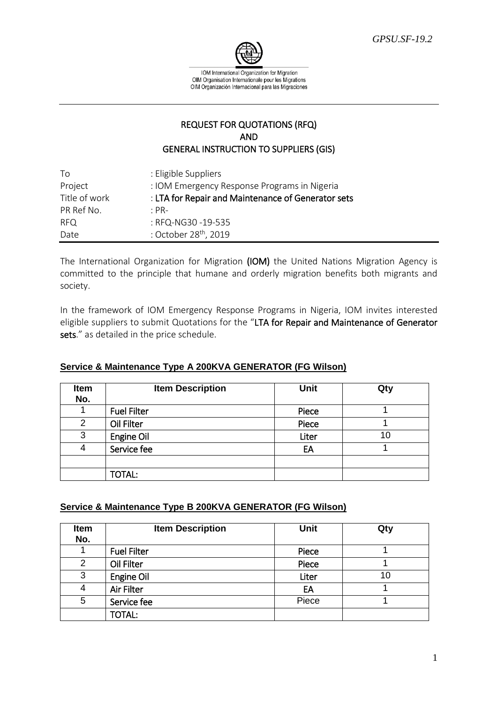

IOM International Organization for Migration OIM Organisation Internationale pour les Migrations OIM Organización Internacional para las Migraciones

## REQUEST FOR QUOTATIONS (RFQ) AND GENERAL INSTRUCTION TO SUPPLIERS (GIS)

| Τo            | : Eligible Suppliers                               |
|---------------|----------------------------------------------------|
| Project       | : IOM Emergency Response Programs in Nigeria       |
| Title of work | : LTA for Repair and Maintenance of Generator sets |
| PR Ref No.    | $\cdot$ PR-                                        |
| RFQ           | : RFQ-NG30-19-535                                  |
| Date          | : October 28 <sup>th</sup> , 2019                  |

The International Organization for Migration (IOM) the United Nations Migration Agency is committed to the principle that humane and orderly migration benefits both migrants and society.

In the framework of IOM Emergency Response Programs in Nigeria, IOM invites interested eligible suppliers to submit Quotations for the "LTA for Repair and Maintenance of Generator sets." as detailed in the price schedule.

| Item<br>No.    | <b>Item Description</b> | <b>Unit</b> | Qty |
|----------------|-------------------------|-------------|-----|
|                | <b>Fuel Filter</b>      | Piece       |     |
| $\overline{2}$ | Oil Filter              | Piece       |     |
| 3              | Engine Oil              | Liter       | 10  |
| 4              | Service fee             | EA          |     |
|                |                         |             |     |
|                | <b>TOTAL:</b>           |             |     |

## **Service & Maintenance Type A 200KVA GENERATOR (FG Wilson)**

#### **Service & Maintenance Type B 200KVA GENERATOR (FG Wilson)**

| Item<br>No. | <b>Item Description</b> | <b>Unit</b> | Qty |
|-------------|-------------------------|-------------|-----|
|             | <b>Fuel Filter</b>      | Piece       |     |
| 2           | Oil Filter              | Piece       |     |
| 3           | Engine Oil              | Liter       | 10  |
| 4           | <b>Air Filter</b>       | EA          |     |
| 5           | Service fee             | Piece       |     |
|             | <b>TOTAL:</b>           |             |     |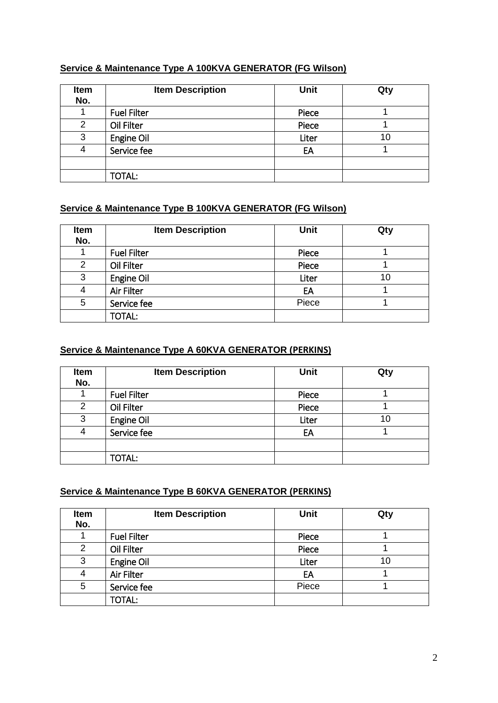# **Service & Maintenance Type A 100KVA GENERATOR (FG Wilson)**

| Item<br>No. | <b>Item Description</b> | <b>Unit</b> | Qty |
|-------------|-------------------------|-------------|-----|
|             | <b>Fuel Filter</b>      | Piece       |     |
| 2           | Oil Filter              | Piece       |     |
| 3           | Engine Oil              | Liter       | 10  |
| 4           | Service fee             | EA          |     |
|             |                         |             |     |
|             | <b>TOTAL:</b>           |             |     |

# **Service & Maintenance Type B 100KVA GENERATOR (FG Wilson)**

| Item<br>No. | <b>Item Description</b> | <b>Unit</b> | Qty |
|-------------|-------------------------|-------------|-----|
|             | <b>Fuel Filter</b>      | Piece       |     |
| 2           | Oil Filter              | Piece       |     |
| 3           | Engine Oil              | Liter       | 10  |
| 4           | Air Filter              | EA          |     |
| 5           | Service fee             | Piece       |     |
|             | <b>TOTAL:</b>           |             |     |

# **Service & Maintenance Type A 60KVA GENERATOR (PERKINS)**

| Item<br>No.    | <b>Item Description</b> | <b>Unit</b> | Qty |
|----------------|-------------------------|-------------|-----|
|                | <b>Fuel Filter</b>      | Piece       |     |
| $\overline{2}$ | Oil Filter              | Piece       |     |
| 3              | Engine Oil              | Liter       | 10  |
| 4              | Service fee             | EA          |     |
|                |                         |             |     |
|                | <b>TOTAL:</b>           |             |     |

# **Service & Maintenance Type B 60KVA GENERATOR (PERKINS)**

| Item<br>No.    | <b>Item Description</b> | Unit  | Qty |
|----------------|-------------------------|-------|-----|
|                | <b>Fuel Filter</b>      | Piece |     |
| $\overline{2}$ | Oil Filter              | Piece |     |
| 3              | Engine Oil              | Liter | 10  |
| 4              | Air Filter              | EA    |     |
| 5              | Service fee             | Piece |     |
|                | <b>TOTAL:</b>           |       |     |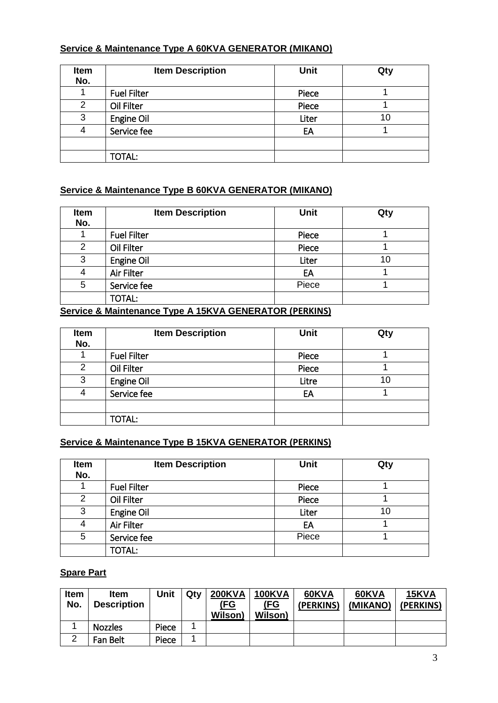# **Service & Maintenance Type A 60KVA GENERATOR (MIKANO)**

| Item<br>No.    | <b>Item Description</b> | <b>Unit</b> | Qty |
|----------------|-------------------------|-------------|-----|
|                | <b>Fuel Filter</b>      | Piece       |     |
| $\overline{2}$ | Oil Filter              | Piece       |     |
| 3              | Engine Oil              | Liter       | 10  |
| 4              | Service fee             | EA          |     |
|                |                         |             |     |
|                | <b>TOTAL:</b>           |             |     |

# **Service & Maintenance Type B 60KVA GENERATOR (MIKANO)**

| Item<br>No. | <b>Item Description</b> | <b>Unit</b> | Qty |
|-------------|-------------------------|-------------|-----|
|             | <b>Fuel Filter</b>      | Piece       |     |
| 2           | Oil Filter              | Piece       |     |
| 3           | Engine Oil              | Liter       | 10  |
| 4           | Air Filter              | EA          |     |
| 5           | Service fee             | Piece       |     |
|             | <b>TOTAL:</b>           |             |     |

# **Service & Maintenance Type A 15KVA GENERATOR (PERKINS)**

| <b>Item</b><br>No. | <b>Item Description</b> | <b>Unit</b> | Qty |
|--------------------|-------------------------|-------------|-----|
|                    | <b>Fuel Filter</b>      | Piece       |     |
| 2                  | Oil Filter              | Piece       |     |
| 3                  | Engine Oil              | Litre       | 10  |
| 4                  | Service fee             | EA          |     |
|                    |                         |             |     |
|                    | <b>TOTAL:</b>           |             |     |

## **Service & Maintenance Type B 15KVA GENERATOR (PERKINS)**

| Item<br>No.    | <b>Item Description</b> | <b>Unit</b> | Qty |
|----------------|-------------------------|-------------|-----|
|                | <b>Fuel Filter</b>      | Piece       |     |
| $\overline{2}$ | Oil Filter              | Piece       |     |
| 3              | Engine Oil              | Liter       | 10  |
| 4              | Air Filter              | EA          |     |
| 5              | Service fee             | Piece       |     |
|                | <b>TOTAL:</b>           |             |     |

## **Spare Part**

| Item<br>No. | <b>Item</b><br><b>Description</b> | Unit  | Qtv | <b>200KVA</b><br><u>(FG</u><br><b>Wilson</b> ) | <b>100KVA</b><br><u>(FG</u><br><b>Wilson</b> ) | 60KVA<br>(PERKINS) | 60KVA<br>(MIKANO) | 15KVA<br>(PERKINS) |
|-------------|-----------------------------------|-------|-----|------------------------------------------------|------------------------------------------------|--------------------|-------------------|--------------------|
|             | <b>Nozzles</b>                    | Piece |     |                                                |                                                |                    |                   |                    |
| ົ           | Fan Belt                          | Piece |     |                                                |                                                |                    |                   |                    |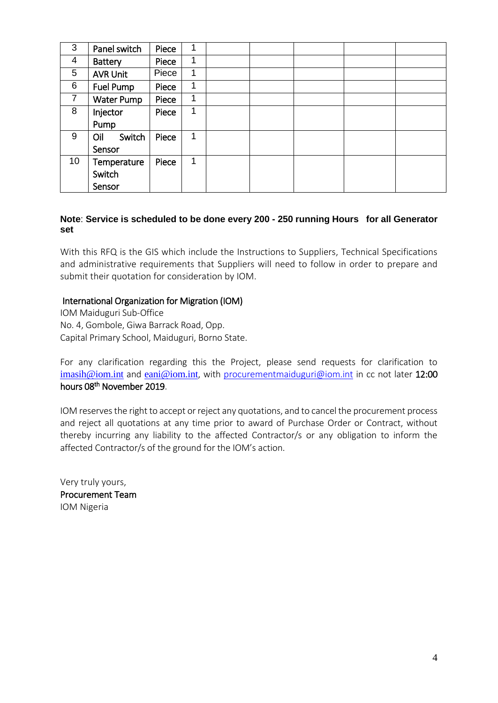| 3               | Panel switch      | Piece | 1 |  |  |  |
|-----------------|-------------------|-------|---|--|--|--|
| 4               | Battery           | Piece | 1 |  |  |  |
| 5               | <b>AVR Unit</b>   | Piece | 1 |  |  |  |
| 6               | <b>Fuel Pump</b>  | Piece | 1 |  |  |  |
| $\overline{7}$  | <b>Water Pump</b> | Piece | 1 |  |  |  |
| 8               | Injector          | Piece | 1 |  |  |  |
|                 | Pump              |       |   |  |  |  |
| 9               | Switch<br>Oil     | Piece | 1 |  |  |  |
|                 | Sensor            |       |   |  |  |  |
| 10 <sup>°</sup> | Temperature       | Piece | 1 |  |  |  |
|                 | Switch            |       |   |  |  |  |
|                 | Sensor            |       |   |  |  |  |

### **Note**: **Service is scheduled to be done every 200 - 250 running Hours for all Generator set**

With this RFQ is the GIS which include the Instructions to Suppliers, Technical Specifications and administrative requirements that Suppliers will need to follow in order to prepare and submit their quotation for consideration by IOM.

## International Organization for Migration (IOM)

IOM Maiduguri Sub-Office No. 4, Gombole, Giwa Barrack Road, Opp. Capital Primary School, Maiduguri, Borno State.

For any clarification regarding this the Project, please send requests for clarification to [imasih@iom.int](mailto:imasih@iom.int) and [eani@iom.int](mailto:eani@iom.int), with [procurementmaiduguri@iom.int](mailto:procurementmaiduguri@iom.int) in cc not later 12:00 hours 08th November 2019.

IOM reserves the right to accept or reject any quotations, and to cancel the procurement process and reject all quotations at any time prior to award of Purchase Order or Contract, without thereby incurring any liability to the affected Contractor/s or any obligation to inform the affected Contractor/s of the ground for the IOM's action.

Very truly yours, Procurement Team IOM Nigeria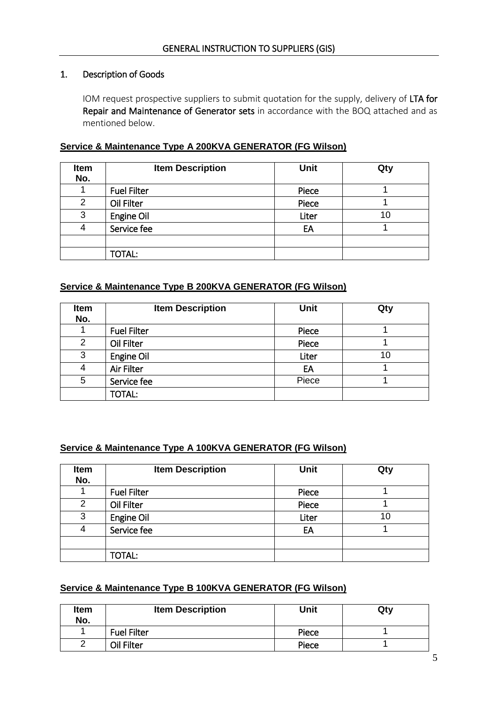### 1. Description of Goods

IOM request prospective suppliers to submit quotation for the supply, delivery of LTA for Repair and Maintenance of Generator sets in accordance with the BOQ attached and as mentioned below.

### **Service & Maintenance Type A 200KVA GENERATOR (FG Wilson)**

| Item<br>No. | <b>Item Description</b> | <b>Unit</b> | Qty |
|-------------|-------------------------|-------------|-----|
|             | <b>Fuel Filter</b>      | Piece       |     |
| 2           | Oil Filter              | Piece       |     |
| 3           | Engine Oil              | Liter       | 10  |
| 4           | Service fee             | EA          |     |
|             |                         |             |     |
|             | <b>TOTAL:</b>           |             |     |

#### **Service & Maintenance Type B 200KVA GENERATOR (FG Wilson)**

| Item<br>No.    | <b>Item Description</b> | <b>Unit</b> | Qty |
|----------------|-------------------------|-------------|-----|
|                | <b>Fuel Filter</b>      | Piece       |     |
| $\overline{2}$ | Oil Filter              | Piece       |     |
| 3              | Engine Oil              | Liter       | 10  |
| 4              | Air Filter              | EA          |     |
| 5              | Service fee             | Piece       |     |
|                | <b>TOTAL:</b>           |             |     |

#### **Service & Maintenance Type A 100KVA GENERATOR (FG Wilson)**

| Item<br>No. | <b>Item Description</b> | <b>Unit</b> | Qty |
|-------------|-------------------------|-------------|-----|
|             | <b>Fuel Filter</b>      | Piece       |     |
| 2           | Oil Filter              | Piece       |     |
| 3           | Engine Oil              | Liter       | 10  |
| 4           | Service fee             | EA          |     |
|             |                         |             |     |
|             | TOTAL:                  |             |     |

#### **Service & Maintenance Type B 100KVA GENERATOR (FG Wilson)**

| <b>Item</b><br>No. | <b>Item Description</b> | Unit  | Qty |
|--------------------|-------------------------|-------|-----|
|                    | <b>Fuel Filter</b>      | Piece |     |
|                    | Oil Filter              | Piece |     |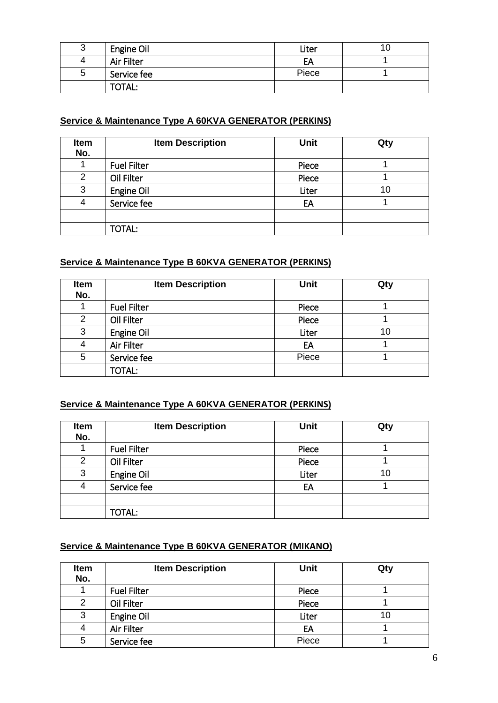| ⌒<br>ა | Engine Oil        | Liter |  |
|--------|-------------------|-------|--|
| 4      | <b>Air Filter</b> | EA    |  |
| ა      | Service fee       | Piece |  |
|        | TOTAL:            |       |  |

## **Service & Maintenance Type A 60KVA GENERATOR (PERKINS)**

| Item<br>No.    | <b>Item Description</b> | <b>Unit</b> | Qty |
|----------------|-------------------------|-------------|-----|
|                | <b>Fuel Filter</b>      | Piece       |     |
| $\overline{2}$ | Oil Filter              | Piece       |     |
| 3              | Engine Oil              | Liter       | 10  |
| 4              | Service fee             | EA          |     |
|                |                         |             |     |
|                | TOTAL:                  |             |     |

# **Service & Maintenance Type B 60KVA GENERATOR (PERKINS)**

| <b>Item</b><br>No. | <b>Item Description</b> | <b>Unit</b> | Qty |
|--------------------|-------------------------|-------------|-----|
|                    | <b>Fuel Filter</b>      | Piece       |     |
| 2                  | Oil Filter              | Piece       |     |
| 3                  | Engine Oil              | Liter       | 10  |
| 4                  | Air Filter              | EA          |     |
| 5                  | Service fee             | Piece       |     |
|                    | <b>TOTAL:</b>           |             |     |

# **Service & Maintenance Type A 60KVA GENERATOR (PERKINS)**

| Item<br>No.    | <b>Item Description</b> | <b>Unit</b> | Qty |
|----------------|-------------------------|-------------|-----|
|                | <b>Fuel Filter</b>      | Piece       |     |
| $\overline{2}$ | Oil Filter              | Piece       |     |
| 3              | Engine Oil              | Liter       | 10  |
| 4              | Service fee             | EA          |     |
|                |                         |             |     |
|                | <b>TOTAL:</b>           |             |     |

# **Service & Maintenance Type B 60KVA GENERATOR (MIKANO)**

| <b>Item</b><br>No. | <b>Item Description</b> | <b>Unit</b> | Qty |
|--------------------|-------------------------|-------------|-----|
|                    | <b>Fuel Filter</b>      | Piece       |     |
| 2                  | Oil Filter              | Piece       |     |
| 3                  | Engine Oil              | Liter       | 10  |
| 4                  | <b>Air Filter</b>       | EA          |     |
| 5                  | Service fee             | Piece       |     |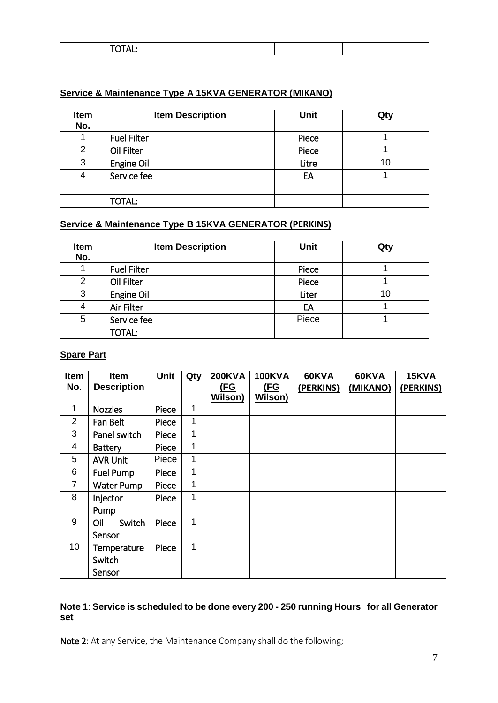|--|

### **Service & Maintenance Type A 15KVA GENERATOR (MIKANO)**

| Item<br>No. | <b>Item Description</b> | <b>Unit</b> | Qty |
|-------------|-------------------------|-------------|-----|
|             | <b>Fuel Filter</b>      | Piece       |     |
| 2           | Oil Filter              | Piece       |     |
| 3           | Engine Oil              | Litre       | 10  |
| 4           | Service fee             | EA          |     |
|             |                         |             |     |
|             | <b>TOTAL:</b>           |             |     |

# **Service & Maintenance Type B 15KVA GENERATOR (PERKINS)**

| Item<br>No.    | <b>Item Description</b> | <b>Unit</b> | Qty |
|----------------|-------------------------|-------------|-----|
|                | <b>Fuel Filter</b>      | Piece       |     |
| $\overline{2}$ | Oil Filter              | Piece       |     |
| 3              | Engine Oil              | Liter       | 10  |
| 4              | Air Filter              | EA          |     |
| 5              | Service fee             | Piece       |     |
|                | TOTAL:                  |             |     |

### **Spare Part**

| Item            | <b>Item</b>        | <b>Unit</b> | Qty | <b>200KVA</b> | <b>100KVA</b> | 60KVA     | 60KVA    | <b>15KVA</b> |
|-----------------|--------------------|-------------|-----|---------------|---------------|-----------|----------|--------------|
| No.             | <b>Description</b> |             |     | (FG           | <u>(FG</u>    | (PERKINS) | (MIKANO) | (PERKINS)    |
|                 |                    |             |     | Wilson)       | Wilson)       |           |          |              |
| $\mathbf{1}$    | <b>Nozzles</b>     | Piece       | 1   |               |               |           |          |              |
| $\overline{2}$  | Fan Belt           | Piece       | 1   |               |               |           |          |              |
| 3               | Panel switch       | Piece       | 1   |               |               |           |          |              |
| $\overline{4}$  | <b>Battery</b>     | Piece       | 1   |               |               |           |          |              |
| 5               | <b>AVR Unit</b>    | Piece       | 1   |               |               |           |          |              |
| 6               | Fuel Pump          | Piece       | 1   |               |               |           |          |              |
| $\overline{7}$  | Water Pump         | Piece       | 1   |               |               |           |          |              |
| 8               | Injector           | Piece       | 1   |               |               |           |          |              |
|                 | Pump               |             |     |               |               |           |          |              |
| 9               | Switch<br>Oil      | Piece       | 1   |               |               |           |          |              |
|                 | Sensor             |             |     |               |               |           |          |              |
| 10 <sup>°</sup> | Temperature        | Piece       | 1   |               |               |           |          |              |
|                 | Switch             |             |     |               |               |           |          |              |
|                 | Sensor             |             |     |               |               |           |          |              |

### **Note 1**: **Service is scheduled to be done every 200 - 250 running Hours for all Generator set**

Note 2: At any Service, the Maintenance Company shall do the following;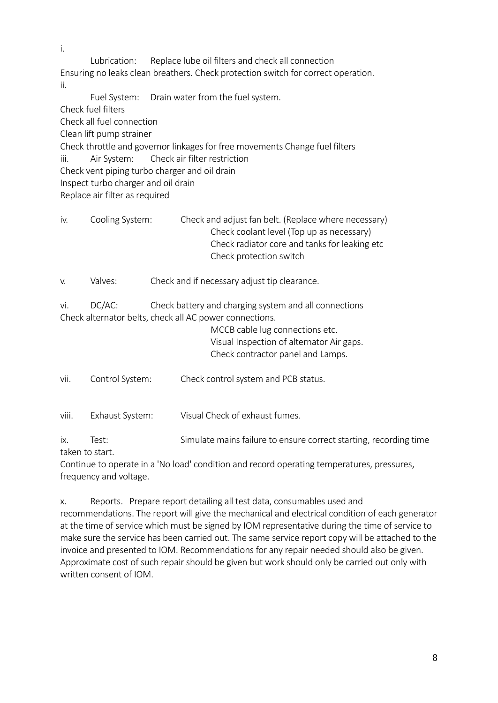Lubrication: Replace lube oil filters and check all connection Ensuring no leaks clean breathers. Check protection switch for correct operation. ii.

Fuel System: Drain water from the fuel system. Check fuel filters Check all fuel connection Clean lift pump strainer Check throttle and governor linkages for free movements Change fuel filters iii. Air System: Check air filter restriction Check vent piping turbo charger and oil drain Inspect turbo charger and oil drain Replace air filter as required

iv. Cooling System: Check and adjust fan belt. (Replace where necessary) Check coolant level (Top up as necessary) Check radiator core and tanks for leaking etc Check protection switch

v. Valves: Check and if necessary adjust tip clearance.

vi. DC/AC: Check battery and charging system and all connections Check alternator belts, check all AC power connections.

MCCB cable lug connections etc. Visual Inspection of alternator Air gaps. Check contractor panel and Lamps.

vii. Control System: Check control system and PCB status.

viii. Exhaust System: Visual Check of exhaust fumes.

ix. Test: Simulate mains failure to ensure correct starting, recording time taken to start.

Continue to operate in a 'No load' condition and record operating temperatures, pressures, frequency and voltage.

x. Reports. Prepare report detailing all test data, consumables used and recommendations. The report will give the mechanical and electrical condition of each generator at the time of service which must be signed by IOM representative during the time of service to make sure the service has been carried out. The same service report copy will be attached to the invoice and presented to IOM. Recommendations for any repair needed should also be given. Approximate cost of such repair should be given but work should only be carried out only with written consent of IOM.

i.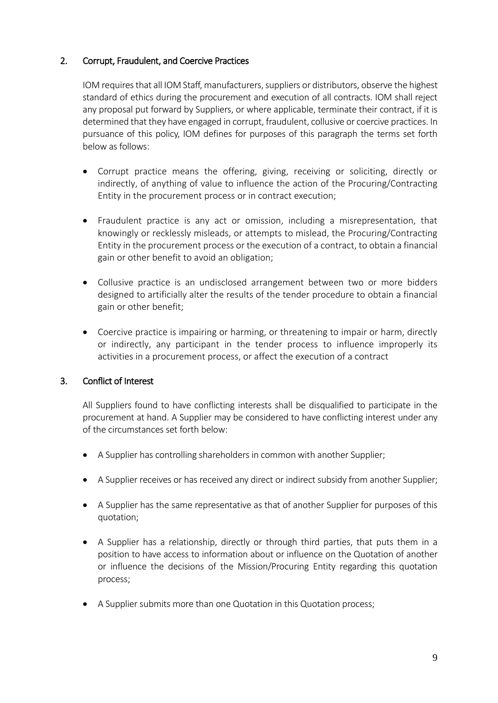# 2. Corrupt, Fraudulent, and Coercive Practices

IOM requires that all IOM Staff, manufacturers, suppliers or distributors, observe the highest standard of ethics during the procurement and execution of all contracts. IOM shall reject any proposal put forward by Suppliers, or where applicable, terminate their contract, if it is determined that they have engaged in corrupt, fraudulent, collusive or coercive practices. In pursuance of this policy, IOM defines for purposes of this paragraph the terms set forth below as follows:

- Corrupt practice means the offering, giving, receiving or soliciting, directly or indirectly, of anything of value to influence the action of the Procuring/Contracting Entity in the procurement process or in contract execution;
- Fraudulent practice is any act or omission, including a misrepresentation, that knowingly or recklessly misleads, or attempts to mislead, the Procuring/Contracting Entity in the procurement process or the execution of a contract, to obtain a financial gain or other benefit to avoid an obligation;
- Collusive practice is an undisclosed arrangement between two or more bidders designed to artificially alter the results of the tender procedure to obtain a financial gain or other benefit;
- Coercive practice is impairing or harming, or threatening to impair or harm, directly or indirectly, any participant in the tender process to influence improperly its activities in a procurement process, or affect the execution of a contract

# 3. Conflict of Interest

All Suppliers found to have conflicting interests shall be disqualified to participate in the procurement at hand. A Supplier may be considered to have conflicting interest under any of the circumstances set forth below:

- A Supplier has controlling shareholders in common with another Supplier;
- A Supplier receives or has received any direct or indirect subsidy from another Supplier;
- A Supplier has the same representative as that of another Supplier for purposes of this quotation;
- A Supplier has a relationship, directly or through third parties, that puts them in a position to have access to information about or influence on the Quotation of another or influence the decisions of the Mission/Procuring Entity regarding this quotation process;
- A Supplier submits more than one Quotation in this Quotation process;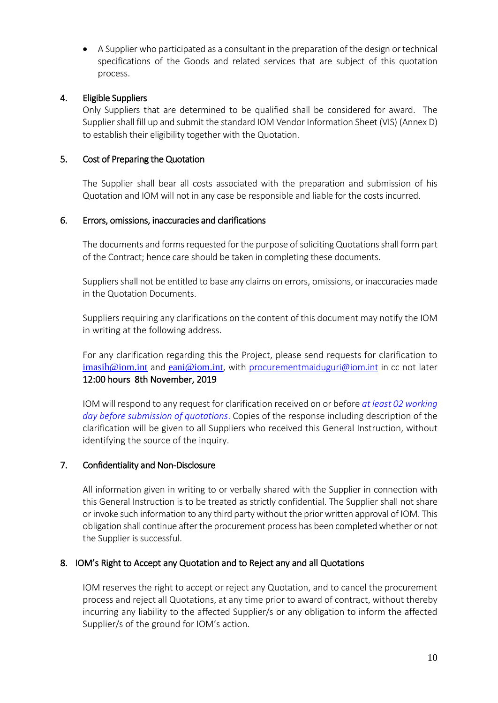A Supplier who participated as a consultant in the preparation of the design or technical specifications of the Goods and related services that are subject of this quotation process.

# 4. Eligible Suppliers

Only Suppliers that are determined to be qualified shall be considered for award. The Supplier shall fill up and submit the standard IOM Vendor Information Sheet (VIS) (Annex D) to establish their eligibility together with the Quotation.

# 5. Cost of Preparing the Quotation

The Supplier shall bear all costs associated with the preparation and submission of his Quotation and IOM will not in any case be responsible and liable for the costs incurred.

# 6. Errors, omissions, inaccuracies and clarifications

The documents and forms requested for the purpose of soliciting Quotations shall form part of the Contract; hence care should be taken in completing these documents.

Suppliers shall not be entitled to base any claims on errors, omissions, or inaccuracies made in the Quotation Documents.

Suppliers requiring any clarifications on the content of this document may notify the IOM in writing at the following address.

For any clarification regarding this the Project, please send requests for clarification to [imasih@iom.int](mailto:imasih@iom.int) and [eani@iom.int](mailto:eani@iom.int), with [procurementmaiduguri@iom.int](mailto:procurementmaiduguri@iom.int) in cc not later 12:00 hours 8th November, 2019

IOM will respond to any request for clarification received on or before *at least 02 working day before submission of quotations*. Copies of the response including description of the clarification will be given to all Suppliers who received this General Instruction, without identifying the source of the inquiry.

# 7. Confidentiality and Non-Disclosure

All information given in writing to or verbally shared with the Supplier in connection with this General Instruction is to be treated as strictly confidential. The Supplier shall not share or invoke such information to any third party without the prior written approval of IOM. This obligation shall continue after the procurement process has been completed whether or not the Supplier is successful.

# 8. IOM's Right to Accept any Quotation and to Reject any and all Quotations

 IOM reserves the right to accept or reject any Quotation, and to cancel the procurement process and reject all Quotations, at any time prior to award of contract, without thereby incurring any liability to the affected Supplier/s or any obligation to inform the affected Supplier/s of the ground for IOM's action.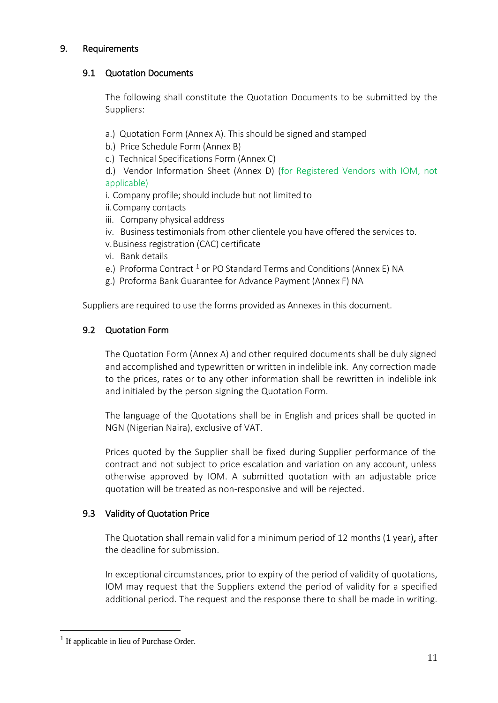## 9. Requirements

### 9.1 Quotation Documents

The following shall constitute the Quotation Documents to be submitted by the Suppliers:

- a.) Quotation Form (Annex A). This should be signed and stamped
- b.) Price Schedule Form (Annex B)
- c.) Technical Specifications Form (Annex C)
- d.) Vendor Information Sheet (Annex D) (for Registered Vendors with IOM, not applicable)
- i. Company profile; should include but not limited to
- ii.Company contacts
- iii. Company physical address
- iv. Business testimonials from other clientele you have offered the services to.
- v.Business registration (CAC) certificate
- vi. Bank details
- e.) Proforma Contract<sup>1</sup> or PO Standard Terms and Conditions (Annex E) NA
- g.) Proforma Bank Guarantee for Advance Payment (Annex F) NA

### Suppliers are required to use the forms provided as Annexes in this document.

## 9.2 Quotation Form

The Quotation Form (Annex A) and other required documents shall be duly signed and accomplished and typewritten or written in indelible ink. Any correction made to the prices, rates or to any other information shall be rewritten in indelible ink and initialed by the person signing the Quotation Form.

The language of the Quotations shall be in English and prices shall be quoted in NGN (Nigerian Naira), exclusive of VAT.

Prices quoted by the Supplier shall be fixed during Supplier performance of the contract and not subject to price escalation and variation on any account, unless otherwise approved by IOM. A submitted quotation with an adjustable price quotation will be treated as non-responsive and will be rejected.

## 9.3 Validity of Quotation Price

The Quotation shall remain valid for a minimum period of 12 months (1 year), after the deadline for submission.

In exceptional circumstances, prior to expiry of the period of validity of quotations, IOM may request that the Suppliers extend the period of validity for a specified additional period. The request and the response there to shall be made in writing.

<u>.</u>

<sup>&</sup>lt;sup>1</sup> If applicable in lieu of Purchase Order.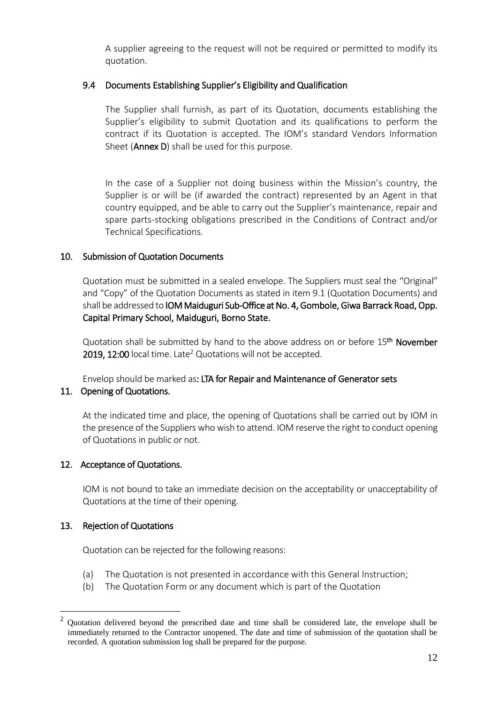A supplier agreeing to the request will not be required or permitted to modify its quotation.

# 9.4 Documents Establishing Supplier's Eligibility and Qualification

The Supplier shall furnish, as part of its Quotation, documents establishing the Supplier's eligibility to submit Quotation and its qualifications to perform the contract if its Quotation is accepted. The IOM's standard Vendors Information Sheet (**Annex D**) shall be used for this purpose.

In the case of a Supplier not doing business within the Mission's country, the Supplier is or will be (if awarded the contract) represented by an Agent in that country equipped, and be able to carry out the Supplier's maintenance, repair and spare parts-stocking obligations prescribed in the Conditions of Contract and/or Technical Specifications*.*

# 10. Submission of Quotation Documents

Quotation must be submitted in a sealed envelope. The Suppliers must seal the "Original" and "Copy" of the Quotation Documents as stated in item 9.1 (Quotation Documents) and shall be addressed to IOM Maiduguri Sub-Office at No. 4, Gombole, Giwa Barrack Road, Opp. Capital Primary School, Maiduguri, Borno State.

Quotation shall be submitted by hand to the above address on or before 15<sup>th</sup> November 2019, 12:00 local time. Late<sup>2</sup> Quotations will not be accepted.

Envelop should be marked as: LTA for Repair and Maintenance of Generator sets

## 11. Opening of Quotations.

At the indicated time and place, the opening of Quotations shall be carried out by IOM in the presence of the Suppliers who wish to attend. IOM reserve the right to conduct opening of Quotations in public or not.

# 12. Acceptance of Quotations.

IOM is not bound to take an immediate decision on the acceptability or unacceptability of Quotations at the time of their opening.

## 13. Rejection of Quotations

<u>.</u>

Quotation can be rejected for the following reasons:

- (a) The Quotation is not presented in accordance with this General Instruction;
- (b) The Quotation Form or any document which is part of the Quotation

 $2 \text{ Quotation delivered beyond the prescribed date and time shall be considered late, the envelope shall be.}$ immediately returned to the Contractor unopened. The date and time of submission of the quotation shall be recorded. A quotation submission log shall be prepared for the purpose.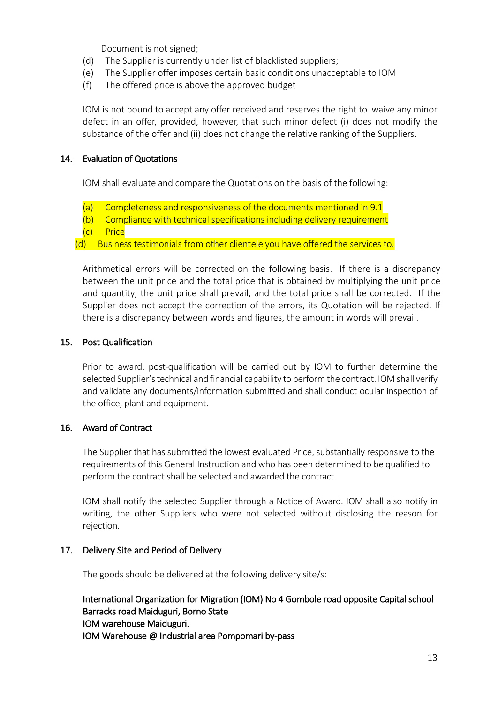Document is not signed;

- (d) The Supplier is currently under list of blacklisted suppliers;
- (e) The Supplier offer imposes certain basic conditions unacceptable to IOM
- (f) The offered price is above the approved budget

IOM is not bound to accept any offer received and reserves the right to waive any minor defect in an offer, provided, however, that such minor defect (i) does not modify the substance of the offer and (ii) does not change the relative ranking of the Suppliers.

### 14. Evaluation of Quotations

IOM shall evaluate and compare the Quotations on the basis of the following:

- (a) Completeness and responsiveness of the documents mentioned in 9.1
- (b) Compliance with technical specifications including delivery requirement
- (c) Price
- (d) Business testimonials from other clientele you have offered the services to.

Arithmetical errors will be corrected on the following basis. If there is a discrepancy between the unit price and the total price that is obtained by multiplying the unit price and quantity, the unit price shall prevail, and the total price shall be corrected. If the Supplier does not accept the correction of the errors, its Quotation will be rejected. If there is a discrepancy between words and figures, the amount in words will prevail.

### 15. Post Qualification

Prior to award, post-qualification will be carried out by IOM to further determine the selected Supplier's technical and financial capability to perform the contract. IOM shall verify and validate any documents/information submitted and shall conduct ocular inspection of the office, plant and equipment.

#### 16. Award of Contract

The Supplier that has submitted the lowest evaluated Price, substantially responsive to the requirements of this General Instruction and who has been determined to be qualified to perform the contract shall be selected and awarded the contract.

IOM shall notify the selected Supplier through a Notice of Award. IOM shall also notify in writing, the other Suppliers who were not selected without disclosing the reason for rejection.

#### 17. Delivery Site and Period of Delivery

The goods should be delivered at the following delivery site/s:

International Organization for Migration (IOM) No 4 Gombole road opposite Capital school Barracks road Maiduguri, Borno State IOM warehouse Maiduguri. IOM Warehouse @ Industrial area Pompomari by-pass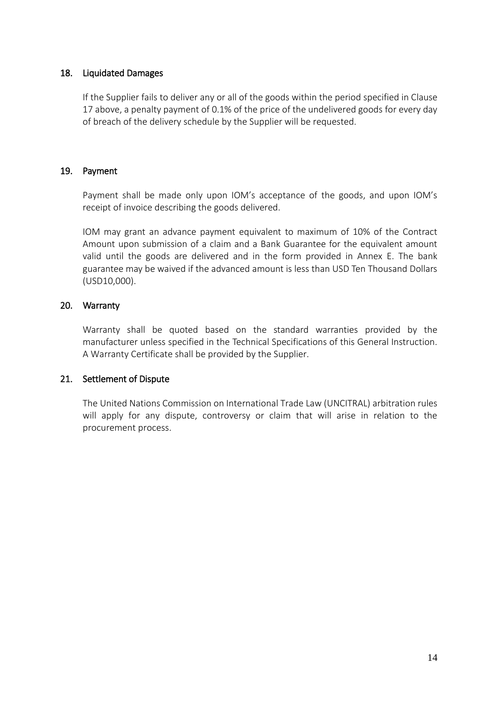### 18. Liquidated Damages

If the Supplier fails to deliver any or all of the goods within the period specified in Clause 17 above, a penalty payment of 0.1% of the price of the undelivered goods for every day of breach of the delivery schedule by the Supplier will be requested.

### 19. Payment

Payment shall be made only upon IOM's acceptance of the goods, and upon IOM's receipt of invoice describing the goods delivered.

IOM may grant an advance payment equivalent to maximum of 10% of the Contract Amount upon submission of a claim and a Bank Guarantee for the equivalent amount valid until the goods are delivered and in the form provided in Annex E. The bank guarantee may be waived if the advanced amount is less than USD Ten Thousand Dollars (USD10,000).

### 20. Warranty

Warranty shall be quoted based on the standard warranties provided by the manufacturer unless specified in the Technical Specifications of this General Instruction. A Warranty Certificate shall be provided by the Supplier.

## 21. Settlement of Dispute

The United Nations Commission on International Trade Law (UNCITRAL) arbitration rules will apply for any dispute, controversy or claim that will arise in relation to the procurement process.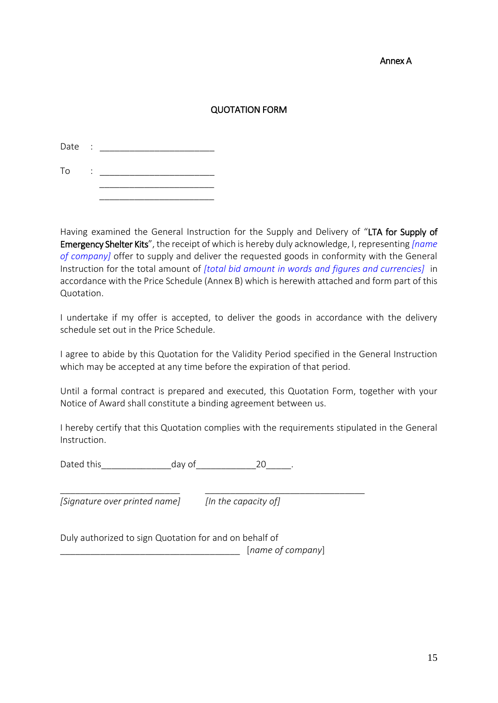#### Annex A

# QUOTATION FORM

| Date | $\sim$ : |  |
|------|----------|--|
| To   |          |  |
|      |          |  |

Having examined the General Instruction for the Supply and Delivery of "LTA for Supply of Emergency Shelter Kits", the receipt of which is hereby duly acknowledge, I, representing *[name of company]* offer to supply and deliver the requested goods in conformity with the General Instruction for the total amount of *[total bid amount in words and figures and currencies]* in accordance with the Price Schedule (Annex B) which is herewith attached and form part of this Quotation.

I undertake if my offer is accepted, to deliver the goods in accordance with the delivery schedule set out in the Price Schedule.

I agree to abide by this Quotation for the Validity Period specified in the General Instruction which may be accepted at any time before the expiration of that period.

Until a formal contract is prepared and executed, this Quotation Form, together with your Notice of Award shall constitute a binding agreement between us.

I hereby certify that this Quotation complies with the requirements stipulated in the General Instruction.

Dated this day of the 20 and 20 and 20 and 20 and 20 and 20 and 20 and 20 and 20

*[Signature over printed name] [In the capacity of]*

\_\_\_\_\_\_\_\_\_\_\_\_\_\_\_\_\_\_\_\_\_\_\_\_ \_\_\_\_\_\_\_\_\_\_\_\_\_\_\_\_\_\_\_\_\_\_\_\_\_\_\_\_\_\_\_\_

Duly authorized to sign Quotation for and on behalf of \_\_\_\_\_\_\_\_\_\_\_\_\_\_\_\_\_\_\_\_\_\_\_\_\_\_\_\_\_\_\_\_\_\_\_\_ [*name of company*]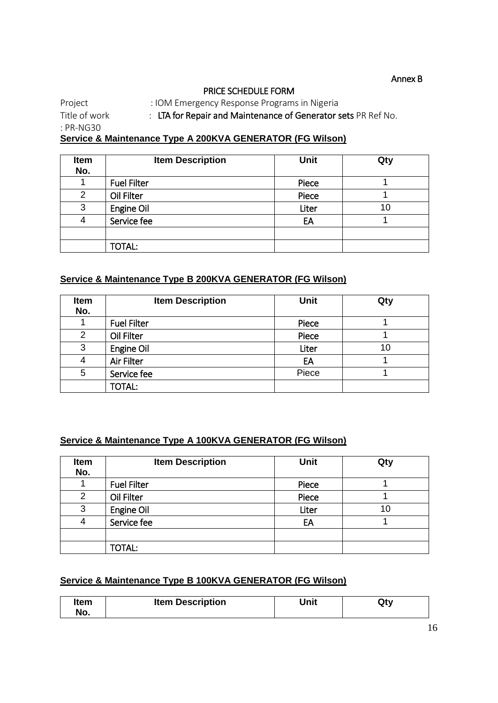Annex B

#### PRICE SCHEDULE FORM

Project : IOM Emergency Response Programs in Nigeria Title of work : LTA for Repair and Maintenance of Generator sets PR Ref No.

: PR-NG30

**Service & Maintenance Type A 200KVA GENERATOR (FG Wilson)**

| <b>Item</b><br>No. | <b>Item Description</b> | <b>Unit</b> | Qty |
|--------------------|-------------------------|-------------|-----|
|                    | <b>Fuel Filter</b>      | Piece       |     |
| 2                  | Oil Filter              | Piece       |     |
| 3                  | Engine Oil              | Liter       | 10  |
| 4                  | Service fee             | EA          |     |
|                    |                         |             |     |
|                    | <b>TOTAL:</b>           |             |     |

### **Service & Maintenance Type B 200KVA GENERATOR (FG Wilson)**

| <b>Item</b><br>No. | <b>Item Description</b> | Unit  | Qty |
|--------------------|-------------------------|-------|-----|
|                    | <b>Fuel Filter</b>      | Piece |     |
| 2                  | Oil Filter              | Piece |     |
| 3                  | Engine Oil              | Liter | 10  |
| 4                  | Air Filter              | EA    |     |
| 5                  | Service fee             | Piece |     |
|                    | <b>TOTAL:</b>           |       |     |

#### **Service & Maintenance Type A 100KVA GENERATOR (FG Wilson)**

| Item<br>No. | <b>Item Description</b> | <b>Unit</b> | Qty |
|-------------|-------------------------|-------------|-----|
|             | <b>Fuel Filter</b>      | Piece       |     |
| 2           | Oil Filter              | Piece       |     |
| 3           | Engine Oil              | Liter       | 10  |
| 4           | Service fee             | EA          |     |
|             |                         |             |     |
|             | <b>TOTAL:</b>           |             |     |

# **Service & Maintenance Type B 100KVA GENERATOR (FG Wilson)**

| Item<br>No. | <b>Item Description</b> | Unit | Qty |
|-------------|-------------------------|------|-----|
|-------------|-------------------------|------|-----|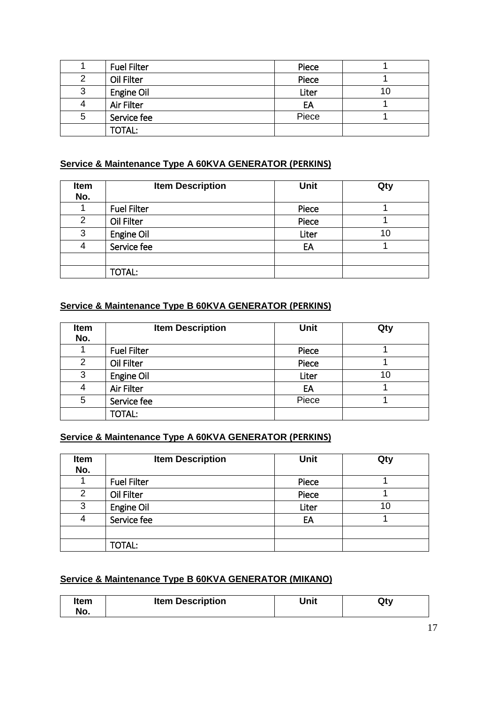|   | <b>Fuel Filter</b> | Piece |    |
|---|--------------------|-------|----|
| 2 | Oil Filter         | Piece |    |
| 3 | Engine Oil         | Liter | 10 |
| 4 | Air Filter         | EA    |    |
| 5 | Service fee        | Piece |    |
|   | <b>TOTAL:</b>      |       |    |

# **Service & Maintenance Type A 60KVA GENERATOR (PERKINS)**

| Item<br>No. | <b>Item Description</b> | <b>Unit</b> | Qty |
|-------------|-------------------------|-------------|-----|
|             | <b>Fuel Filter</b>      | Piece       |     |
| 2           | Oil Filter              | Piece       |     |
| 3           | Engine Oil              | Liter       | 10  |
| 4           | Service fee             | EA          |     |
|             |                         |             |     |
|             | TOTAL:                  |             |     |

# **Service & Maintenance Type B 60KVA GENERATOR (PERKINS)**

| Item<br>No. | <b>Item Description</b> | <b>Unit</b> | Qty |
|-------------|-------------------------|-------------|-----|
|             | <b>Fuel Filter</b>      | Piece       |     |
| 2           | Oil Filter              | Piece       |     |
| 3           | Engine Oil              | Liter       | 10  |
| 4           | Air Filter              | EA          |     |
| 5           | Service fee             | Piece       |     |
|             | <b>TOTAL:</b>           |             |     |

# **Service & Maintenance Type A 60KVA GENERATOR (PERKINS)**

| Item<br>No. | <b>Item Description</b> | <b>Unit</b> | Qty |
|-------------|-------------------------|-------------|-----|
|             | <b>Fuel Filter</b>      | Piece       |     |
| 2           | Oil Filter              | Piece       |     |
| 3           | Engine Oil              | Liter       | 10  |
| 4           | Service fee             | EA          |     |
|             |                         |             |     |
|             | <b>TOTAL:</b>           |             |     |

### **Service & Maintenance Type B 60KVA GENERATOR (MIKANO)**

| <b>Item Description</b><br>Item<br>No. | Unit | Qty |
|----------------------------------------|------|-----|
|----------------------------------------|------|-----|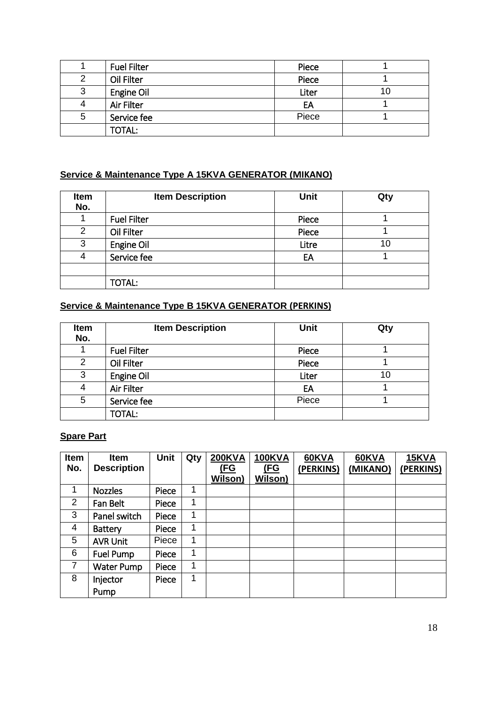|   | <b>Fuel Filter</b> | Piece |    |
|---|--------------------|-------|----|
| 2 | Oil Filter         | Piece |    |
| 3 | Engine Oil         | Liter | 10 |
| 4 | Air Filter         | EA    |    |
| 5 | Service fee        | Piece |    |
|   | <b>TOTAL:</b>      |       |    |

# **Service & Maintenance Type A 15KVA GENERATOR (MIKANO)**

| Item<br>No.    | <b>Item Description</b> | <b>Unit</b> | Qty |
|----------------|-------------------------|-------------|-----|
|                | <b>Fuel Filter</b>      | Piece       |     |
| $\overline{2}$ | Oil Filter              | Piece       |     |
| 3              | Engine Oil              | Litre       | 10  |
| 4              | Service fee             | EA          |     |
|                |                         |             |     |
|                | <b>TOTAL:</b>           |             |     |

# **Service & Maintenance Type B 15KVA GENERATOR (PERKINS)**

| Item<br>No.    | <b>Item Description</b> | <b>Unit</b> | Qty |
|----------------|-------------------------|-------------|-----|
|                | <b>Fuel Filter</b>      | Piece       |     |
| $\overline{2}$ | Oil Filter              | Piece       |     |
| 3              | Engine Oil              | Liter       | 10  |
| 4              | Air Filter              | EA          |     |
| 5              | Service fee             | Piece       |     |
|                | <b>TOTAL:</b>           |             |     |

# **Spare Part**

| Item<br>No.    | <b>Item</b><br><b>Description</b> | <b>Unit</b> | Qty | <b>200KVA</b><br><u>(FG</u> | <b>100KVA</b><br><u>(FG</u> | 60KVA<br>(PERKINS) | 60KVA<br>(MIKANO) | 15KVA<br>(PERKINS) |
|----------------|-----------------------------------|-------------|-----|-----------------------------|-----------------------------|--------------------|-------------------|--------------------|
|                |                                   |             |     | Wilson)                     | <b>Wilson)</b>              |                    |                   |                    |
| 1              | <b>Nozzles</b>                    | Piece       | 1   |                             |                             |                    |                   |                    |
| 2              | Fan Belt                          | Piece       | 1   |                             |                             |                    |                   |                    |
| 3              | Panel switch                      | Piece       | 1   |                             |                             |                    |                   |                    |
| 4              | <b>Battery</b>                    | Piece       | 1   |                             |                             |                    |                   |                    |
| 5              | <b>AVR Unit</b>                   | Piece       | 1   |                             |                             |                    |                   |                    |
| 6              | Fuel Pump                         | Piece       | 1   |                             |                             |                    |                   |                    |
| $\overline{7}$ | Water Pump                        | Piece       | 1   |                             |                             |                    |                   |                    |
| 8              | Injector                          | Piece       | 1   |                             |                             |                    |                   |                    |
|                | Pump                              |             |     |                             |                             |                    |                   |                    |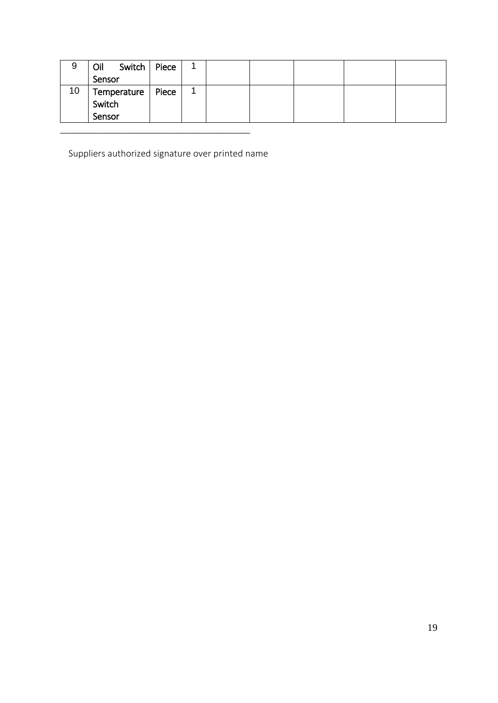| 9  | Switch<br>Oil | Piece |  |  |  |
|----|---------------|-------|--|--|--|
|    | Sensor        |       |  |  |  |
| 10 | Temperature   | Piece |  |  |  |
|    | Switch        |       |  |  |  |
|    | Sensor        |       |  |  |  |
|    |               |       |  |  |  |

Suppliers authorized signature over printed name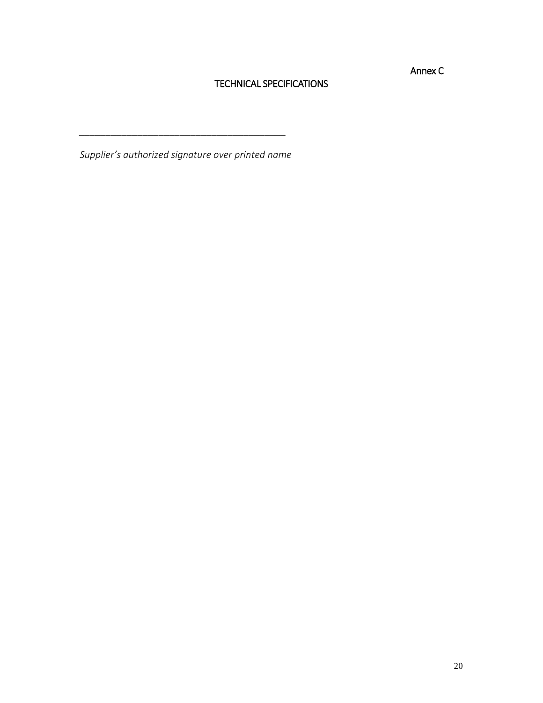Annex C

## TECHNICAL SPECIFICATIONS

*Supplier's authorized signature over printed name*

*\_\_\_\_\_\_\_\_\_\_\_\_\_\_\_\_\_\_\_\_\_\_\_\_\_\_\_\_\_\_\_\_\_\_\_\_\_\_\_*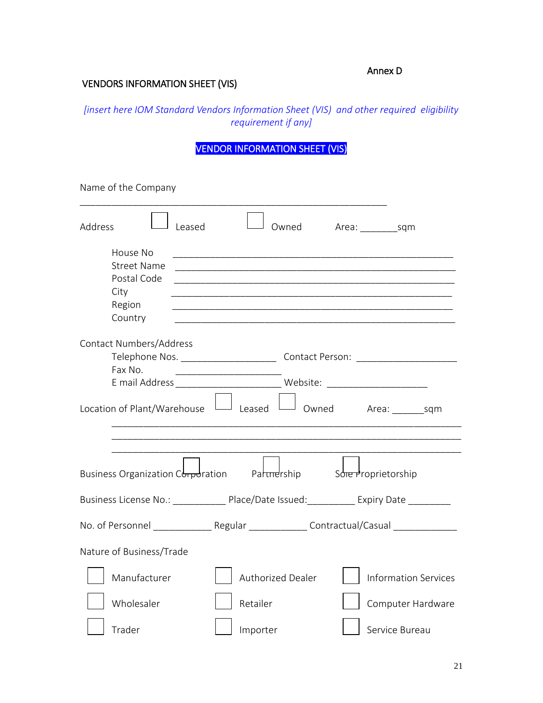### Annex D

# VENDORS INFORMATION SHEET (VIS)

*[insert here IOM Standard Vendors Information Sheet (VIS) and other required eligibility requirement if any]* 

VENDOR INFORMATION SHEET (VIS)

| Name of the Company                                                                     |        |                                                                                  |                     |                             |
|-----------------------------------------------------------------------------------------|--------|----------------------------------------------------------------------------------|---------------------|-----------------------------|
| Address                                                                                 | Leased | Owned                                                                            |                     |                             |
| House No                                                                                |        |                                                                                  |                     |                             |
| <b>Street Name</b>                                                                      |        |                                                                                  |                     |                             |
| Postal Code                                                                             |        |                                                                                  |                     |                             |
| City                                                                                    |        |                                                                                  |                     |                             |
| Region                                                                                  |        |                                                                                  |                     |                             |
| Country                                                                                 |        |                                                                                  |                     |                             |
| Contact Numbers/Address                                                                 |        |                                                                                  |                     |                             |
|                                                                                         |        |                                                                                  |                     |                             |
| Fax No.                                                                                 |        |                                                                                  |                     |                             |
|                                                                                         |        | E mail Address _________________________________ Website: ______________________ |                     |                             |
| Location of Plant/Warehouse                                                             |        | $\Box$ Leased $\Box$                                                             |                     | Owned Area: sqm             |
|                                                                                         |        |                                                                                  |                     |                             |
| Business Organization C <del>orpo</del> ration Partimership                             |        |                                                                                  | Sore Proprietorship |                             |
| Business License No.: Place/Date Issued: Expiry Date                                    |        |                                                                                  |                     |                             |
| No. of Personnel _______________Regular ________________Contractual/Casual ____________ |        |                                                                                  |                     |                             |
| Nature of Business/Trade                                                                |        |                                                                                  |                     |                             |
| Manufacturer                                                                            |        | Authorized Dealer                                                                |                     | <b>Information Services</b> |
| Wholesaler                                                                              |        | Retailer                                                                         |                     | Computer Hardware           |
| Trader                                                                                  |        | Importer                                                                         |                     | Service Bureau              |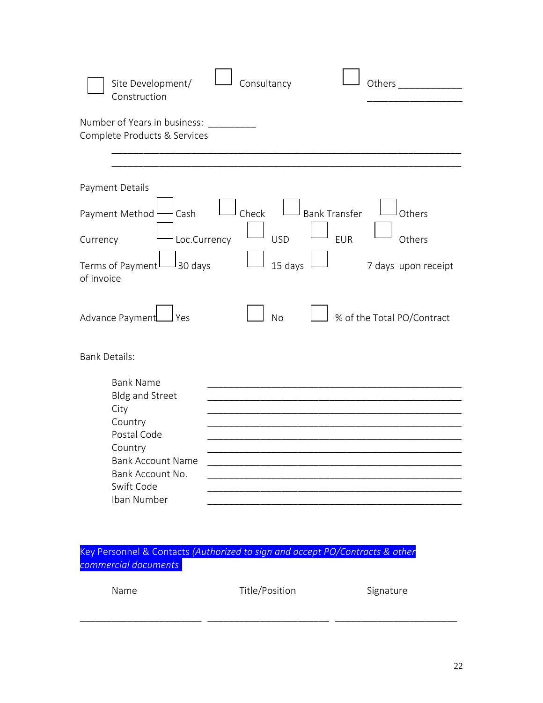| Site Development/<br>Consultancy<br>Others<br>Construction                                                                                                                                                                                                                                                     |  |
|----------------------------------------------------------------------------------------------------------------------------------------------------------------------------------------------------------------------------------------------------------------------------------------------------------------|--|
| Number of Years in business:<br>Complete Products & Services                                                                                                                                                                                                                                                   |  |
|                                                                                                                                                                                                                                                                                                                |  |
| Payment Details<br>Check<br><b>Bank Transfer</b><br>Payment Method<br>Cash<br>Others<br><b>USD</b><br>Loc.Currency<br><b>EUR</b><br>Others<br>Currency<br>15 days<br>Terms of Payment<br>J 30 days<br>7 days upon receipt<br>of invoice<br><b>No</b><br>% of the Total PO/Contract<br>Advance Payment<br>J Yes |  |
| <b>Bank Details:</b>                                                                                                                                                                                                                                                                                           |  |
| <b>Bank Name</b><br><b>Bldg and Street</b><br>City<br>Country<br>Postal Code<br>Country<br><b>Bank Account Name</b><br>Bank Account No.<br>Swift Code<br>Iban Number                                                                                                                                           |  |

Key Personnel & Contacts *(Authorized to sign and accept PO/Contracts & other commercial documents)*

| Name | Title/Position | Signature |
|------|----------------|-----------|
|      |                |           |

\_\_\_\_\_\_\_\_\_\_\_\_\_\_\_\_\_\_\_\_\_\_\_ \_\_\_\_\_\_\_\_\_\_\_\_\_\_\_\_\_\_\_\_\_\_\_ \_\_\_\_\_\_\_\_\_\_\_\_\_\_\_\_\_\_\_\_\_\_\_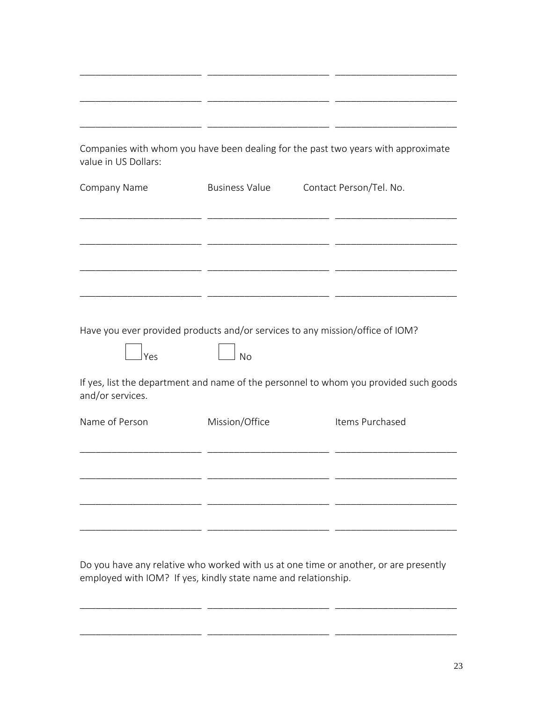| Companies with whom you have been dealing for the past two years with approximate<br>value in US Dollars: |                       |                         |  |
|-----------------------------------------------------------------------------------------------------------|-----------------------|-------------------------|--|
| Company Name                                                                                              | <b>Business Value</b> | Contact Person/Tel. No. |  |
|                                                                                                           |                       |                         |  |
|                                                                                                           |                       |                         |  |
|                                                                                                           |                       |                         |  |
|                                                                                                           |                       |                         |  |
| Have you ever provided products and/or services to any mission/office of IOM?<br>Yes                      | <b>No</b>             |                         |  |
| If yes, list the department and name of the personnel to whom you provided such goods<br>and/or services. |                       |                         |  |
| Name of Person                                                                                            | Mission/Office        | Items Purchased         |  |
|                                                                                                           |                       |                         |  |
|                                                                                                           |                       |                         |  |
|                                                                                                           |                       |                         |  |
|                                                                                                           |                       |                         |  |

Do you have any relative who worked with us at one time or another, or are presently employed with IOM? If yes, kindly state name and relationship.

\_\_\_\_\_\_\_\_\_\_\_\_\_\_\_\_\_\_\_\_\_\_\_ \_\_\_\_\_\_\_\_\_\_\_\_\_\_\_\_\_\_\_\_\_\_\_ \_\_\_\_\_\_\_\_\_\_\_\_\_\_\_\_\_\_\_\_\_\_\_

\_\_\_\_\_\_\_\_\_\_\_\_\_\_\_\_\_\_\_\_\_\_\_ \_\_\_\_\_\_\_\_\_\_\_\_\_\_\_\_\_\_\_\_\_\_\_ \_\_\_\_\_\_\_\_\_\_\_\_\_\_\_\_\_\_\_\_\_\_\_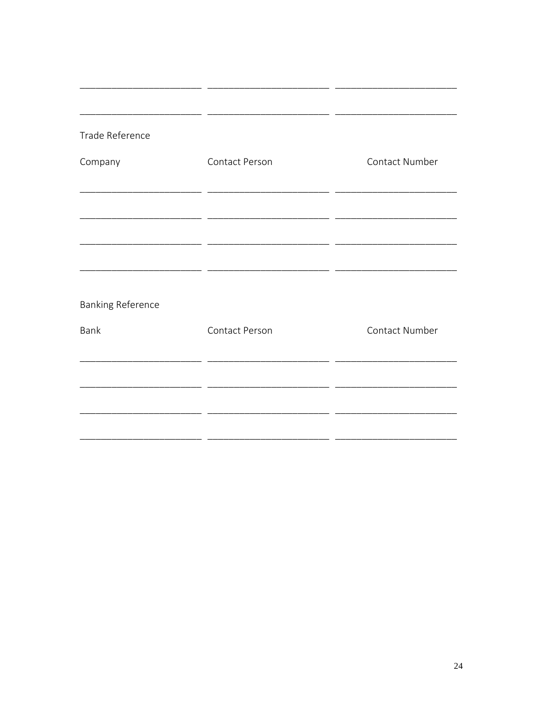| Trade Reference          |                       |                |
|--------------------------|-----------------------|----------------|
| Company                  | Contact Person        | Contact Number |
|                          |                       |                |
|                          |                       |                |
|                          |                       |                |
| <b>Banking Reference</b> |                       |                |
| Bank                     | <b>Contact Person</b> | Contact Number |
|                          |                       |                |
|                          |                       |                |
|                          |                       |                |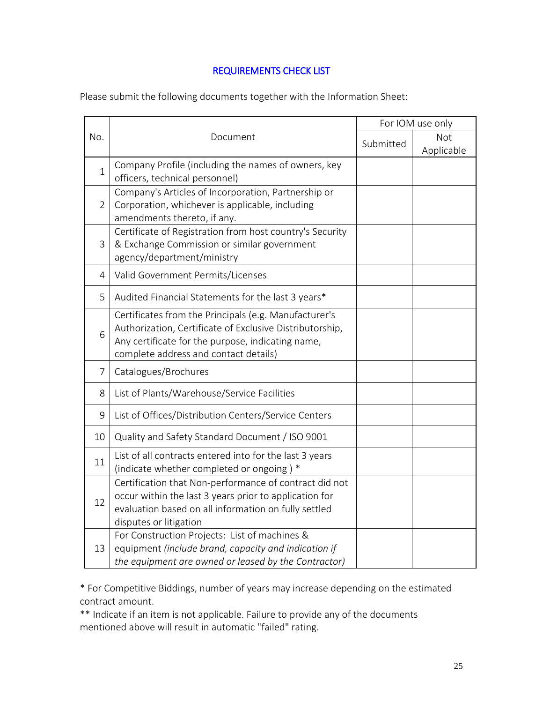# REQUIREMENTS CHECK LIST

Please submit the following documents together with the Information Sheet:

|                |                                                                                                                                                                                                                 |           | For IOM use only  |
|----------------|-----------------------------------------------------------------------------------------------------------------------------------------------------------------------------------------------------------------|-----------|-------------------|
| No.            | Document                                                                                                                                                                                                        | Submitted | Not<br>Applicable |
| $\mathbf{1}$   | Company Profile (including the names of owners, key<br>officers, technical personnel)                                                                                                                           |           |                   |
| $\overline{2}$ | Company's Articles of Incorporation, Partnership or<br>Corporation, whichever is applicable, including<br>amendments thereto, if any.                                                                           |           |                   |
| 3              | Certificate of Registration from host country's Security<br>& Exchange Commission or similar government<br>agency/department/ministry                                                                           |           |                   |
| 4              | Valid Government Permits/Licenses                                                                                                                                                                               |           |                   |
| 5              | Audited Financial Statements for the last 3 years*                                                                                                                                                              |           |                   |
| 6              | Certificates from the Principals (e.g. Manufacturer's<br>Authorization, Certificate of Exclusive Distributorship,<br>Any certificate for the purpose, indicating name,<br>complete address and contact details) |           |                   |
| 7              | Catalogues/Brochures                                                                                                                                                                                            |           |                   |
| 8              | List of Plants/Warehouse/Service Facilities                                                                                                                                                                     |           |                   |
| 9              | List of Offices/Distribution Centers/Service Centers                                                                                                                                                            |           |                   |
| 10             | Quality and Safety Standard Document / ISO 9001                                                                                                                                                                 |           |                   |
| 11             | List of all contracts entered into for the last 3 years<br>(indicate whether completed or ongoing) *                                                                                                            |           |                   |
| 12             | Certification that Non-performance of contract did not<br>occur within the last 3 years prior to application for<br>evaluation based on all information on fully settled<br>disputes or litigation              |           |                   |
| 13             | For Construction Projects: List of machines &<br>equipment (include brand, capacity and indication if<br>the equipment are owned or leased by the Contractor)                                                   |           |                   |

\* For Competitive Biddings, number of years may increase depending on the estimated contract amount.

\*\* Indicate if an item is not applicable. Failure to provide any of the documents mentioned above will result in automatic "failed" rating.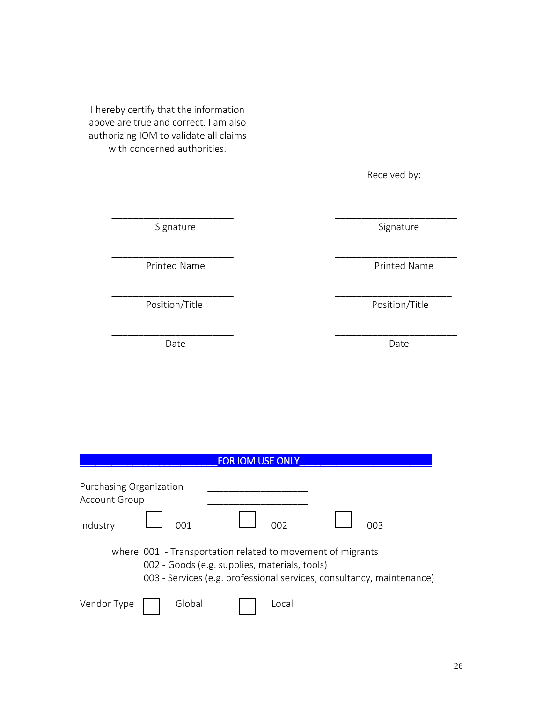I hereby certify that the information above are true and correct. I am also authorizing IOM to validate all claims with concerned authorities.

Received by:

Signature Signature Signature Signature

Printed Name **Printed Name** Printed Name

Date **Date** Date **Date** Date **Date** 

Position/Title Position/Title

|                                                                                                                                                                                      | <b>FOR IOM USE ONLY</b> |        |  |       |  |  |  |
|--------------------------------------------------------------------------------------------------------------------------------------------------------------------------------------|-------------------------|--------|--|-------|--|--|--|
| Purchasing Organization<br><b>Account Group</b><br>Industry<br>NN 1<br>nne<br>ററാ                                                                                                    |                         |        |  |       |  |  |  |
| where 001 - Transportation related to movement of migrants<br>002 - Goods (e.g. supplies, materials, tools)<br>003 - Services (e.g. professional services, consultancy, maintenance) |                         |        |  |       |  |  |  |
| Vendor Type                                                                                                                                                                          |                         | Global |  | Local |  |  |  |

\_\_\_\_\_\_\_\_\_\_\_\_\_\_\_\_\_\_\_\_\_\_\_ \_\_\_\_\_\_\_\_\_\_\_\_\_\_\_\_\_\_\_\_\_\_\_

\_\_\_\_\_\_\_\_\_\_\_\_\_\_\_\_\_\_\_\_\_\_\_ \_\_\_\_\_\_\_\_\_\_\_\_\_\_\_\_\_\_\_\_\_\_\_

\_\_\_\_\_\_\_\_\_\_\_\_\_\_\_\_\_\_\_\_\_\_\_ \_\_\_\_\_\_\_\_\_\_\_\_\_\_\_\_\_\_\_\_\_\_

\_\_\_\_\_\_\_\_\_\_\_\_\_\_\_\_\_\_\_\_\_\_\_ \_\_\_\_\_\_\_\_\_\_\_\_\_\_\_\_\_\_\_\_\_\_\_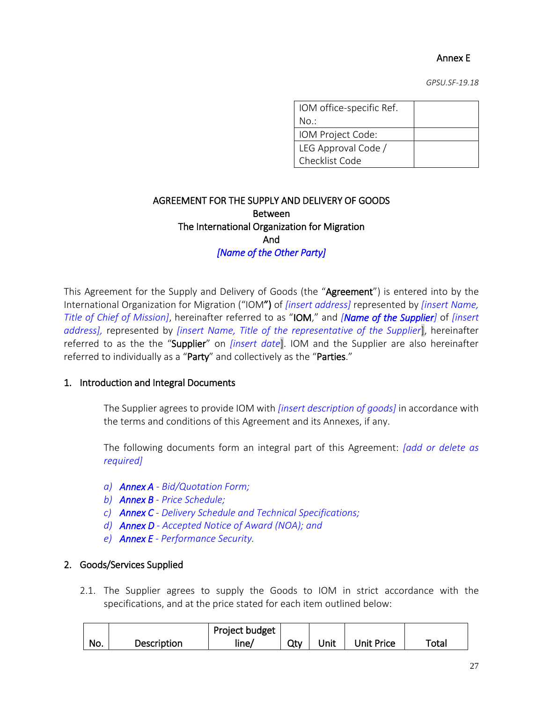# Annex E

*GPSU.SF-19.18*

| IOM office-specific Ref. |  |
|--------------------------|--|
| No.:                     |  |
| IOM Project Code:        |  |
| LEG Approval Code /      |  |
| Checklist Code           |  |

# AGREEMENT FOR THE SUPPLY AND DELIVERY OF GOODS Between The International Organization for Migration And *[Name of the Other Party]*

This Agreement for the Supply and Delivery of Goods (the "Agreement") is entered into by the International Organization for Migration ("IOM") of *[insert address]* represented by *[insert Name, Title of Chief of Mission]*, hereinafter referred to as "IOM," and *[Name of the Supplier]* of *[insert address],* represented by *[insert Name, Title of the representative of the Supplier*], hereinafter referred to as the the "Supplier" on *[insert date*]. IOM and the Supplier are also hereinafter referred to individually as a "Party" and collectively as the "Parties."

#### 1. Introduction and Integral Documents

The Supplier agrees to provide IOM with *[insert description of goods]* in accordance with the terms and conditions of this Agreement and its Annexes, if any.

The following documents form an integral part of this Agreement: *[add or delete as required]*

- *a) Annex A - Bid/Quotation Form;*
- *b) Annex B - Price Schedule;*
- *c) Annex C - Delivery Schedule and Technical Specifications;*
- *d) Annex D - Accepted Notice of Award (NOA); and*
- *e) Annex E - Performance Security.*

#### 2. Goods/Services Supplied

2.1. The Supplier agrees to supply the Goods to IOM in strict accordance with the specifications, and at the price stated for each item outlined below:

|     | Project budget |       |     |      |            |             |
|-----|----------------|-------|-----|------|------------|-------------|
| No. | Description    | line/ | Qty | Unit | Unit Price | $\tau$ otal |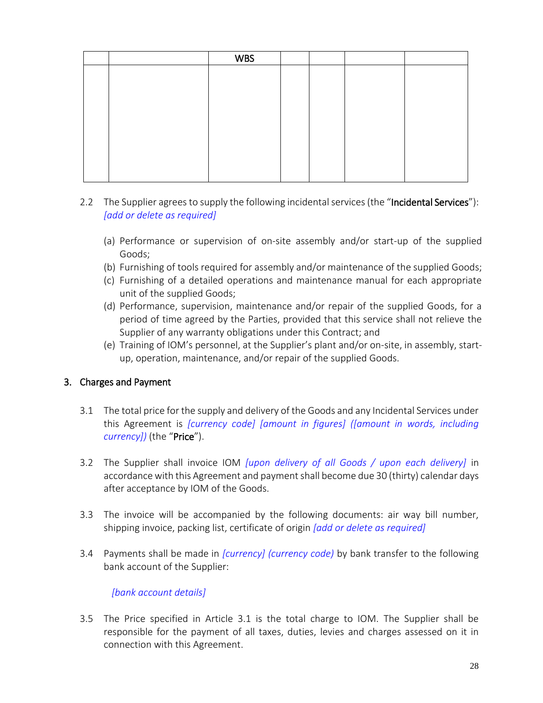|  | <b>WBS</b> |  |  |
|--|------------|--|--|
|  |            |  |  |
|  |            |  |  |
|  |            |  |  |
|  |            |  |  |
|  |            |  |  |
|  |            |  |  |
|  |            |  |  |
|  |            |  |  |
|  |            |  |  |

# 2.2 The Supplier agrees to supply the following incidental services (the "Incidental Services"): *[add or delete as required]*

- (a) Performance or supervision of on-site assembly and/or start-up of the supplied Goods;
- (b) Furnishing of tools required for assembly and/or maintenance of the supplied Goods;
- (c) Furnishing of a detailed operations and maintenance manual for each appropriate unit of the supplied Goods;
- (d) Performance, supervision, maintenance and/or repair of the supplied Goods, for a period of time agreed by the Parties, provided that this service shall not relieve the Supplier of any warranty obligations under this Contract; and
- (e) Training of IOM's personnel, at the Supplier's plant and/or on-site, in assembly, startup, operation, maintenance, and/or repair of the supplied Goods.

## 3. Charges and Payment

- 3.1 The total price for the supply and delivery of the Goods and any Incidental Services under this Agreement is *[currency code] [amount in figures] ([amount in words, including currency])* (the "Price").
- 3.2 The Supplier shall invoice IOM *[upon delivery of all Goods / upon each delivery]* in accordance with this Agreement and payment shall become due 30 (thirty) calendar days after acceptance by IOM of the Goods.
- 3.3 The invoice will be accompanied by the following documents: air way bill number, shipping invoice, packing list, certificate of origin *[add or delete as required]*
- 3.4 Payments shall be made in *[currency] (currency code)* by bank transfer to the following bank account of the Supplier:

## *[bank account details]*

3.5 The Price specified in Article 3.1 is the total charge to IOM. The Supplier shall be responsible for the payment of all taxes, duties, levies and charges assessed on it in connection with this Agreement.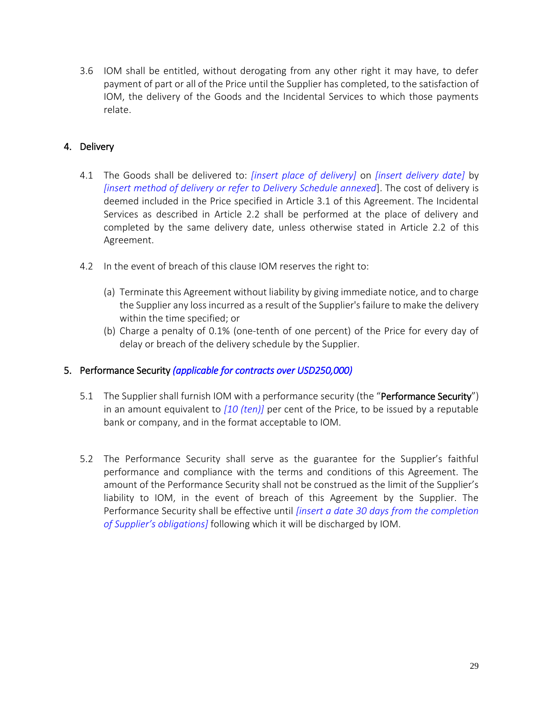3.6 IOM shall be entitled, without derogating from any other right it may have, to defer payment of part or all of the Price until the Supplier has completed, to the satisfaction of IOM, the delivery of the Goods and the Incidental Services to which those payments relate.

# 4. Delivery

- 4.1 The Goods shall be delivered to: *[insert place of delivery]* on *[insert delivery date]* by *[insert method of delivery or refer to Delivery Schedule annexed*]. The cost of delivery is deemed included in the Price specified in Article 3.1 of this Agreement. The Incidental Services as described in Article 2.2 shall be performed at the place of delivery and completed by the same delivery date, unless otherwise stated in Article 2.2 of this Agreement.
- 4.2 In the event of breach of this clause IOM reserves the right to:
	- (a) Terminate this Agreement without liability by giving immediate notice, and to charge the Supplier any loss incurred as a result of the Supplier's failure to make the delivery within the time specified; or
	- (b) Charge a penalty of 0.1% (one-tenth of one percent) of the Price for every day of delay or breach of the delivery schedule by the Supplier.

## 5. Performance Security *(applicable for contracts over USD250,000)*

- 5.1 The Supplier shall furnish IOM with a performance security (the "Performance Security") in an amount equivalent to *[10 (ten)]* per cent of the Price, to be issued by a reputable bank or company, and in the format acceptable to IOM.
- 5.2 The Performance Security shall serve as the guarantee for the Supplier's faithful performance and compliance with the terms and conditions of this Agreement. The amount of the Performance Security shall not be construed as the limit of the Supplier's liability to IOM, in the event of breach of this Agreement by the Supplier. The Performance Security shall be effective until *[insert a date 30 days from the completion of Supplier's obligations]* following which it will be discharged by IOM.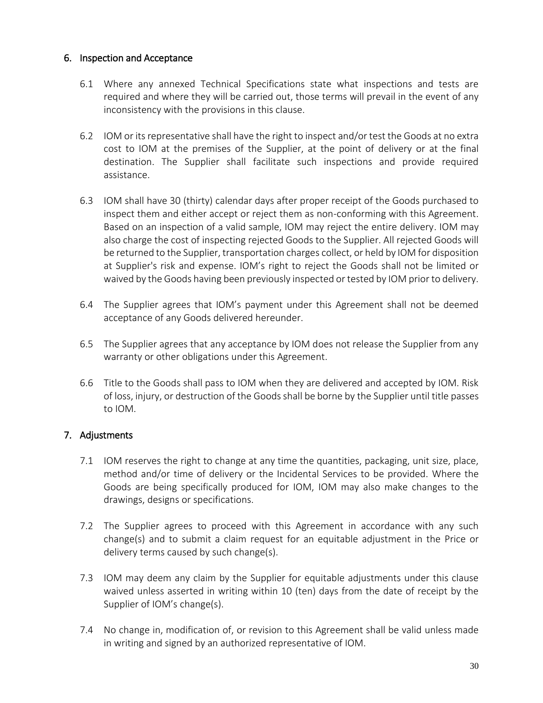## 6. Inspection and Acceptance

- 6.1 Where any annexed Technical Specifications state what inspections and tests are required and where they will be carried out, those terms will prevail in the event of any inconsistency with the provisions in this clause.
- 6.2 IOM or its representative shall have the right to inspect and/or test the Goods at no extra cost to IOM at the premises of the Supplier, at the point of delivery or at the final destination. The Supplier shall facilitate such inspections and provide required assistance.
- 6.3 IOM shall have 30 (thirty) calendar days after proper receipt of the Goods purchased to inspect them and either accept or reject them as non-conforming with this Agreement. Based on an inspection of a valid sample, IOM may reject the entire delivery. IOM may also charge the cost of inspecting rejected Goods to the Supplier. All rejected Goods will be returned to the Supplier, transportation charges collect, or held by IOM for disposition at Supplier's risk and expense. IOM's right to reject the Goods shall not be limited or waived by the Goods having been previously inspected or tested by IOM prior to delivery.
- 6.4 The Supplier agrees that IOM's payment under this Agreement shall not be deemed acceptance of any Goods delivered hereunder.
- 6.5 The Supplier agrees that any acceptance by IOM does not release the Supplier from any warranty or other obligations under this Agreement.
- 6.6 Title to the Goods shall pass to IOM when they are delivered and accepted by IOM. Risk of loss, injury, or destruction of the Goods shall be borne by the Supplier until title passes to IOM.

# 7. Adjustments

- 7.1 IOM reserves the right to change at any time the quantities, packaging, unit size, place, method and/or time of delivery or the Incidental Services to be provided. Where the Goods are being specifically produced for IOM, IOM may also make changes to the drawings, designs or specifications.
- 7.2 The Supplier agrees to proceed with this Agreement in accordance with any such change(s) and to submit a claim request for an equitable adjustment in the Price or delivery terms caused by such change(s).
- 7.3 IOM may deem any claim by the Supplier for equitable adjustments under this clause waived unless asserted in writing within 10 (ten) days from the date of receipt by the Supplier of IOM's change(s).
- 7.4 No change in, modification of, or revision to this Agreement shall be valid unless made in writing and signed by an authorized representative of IOM.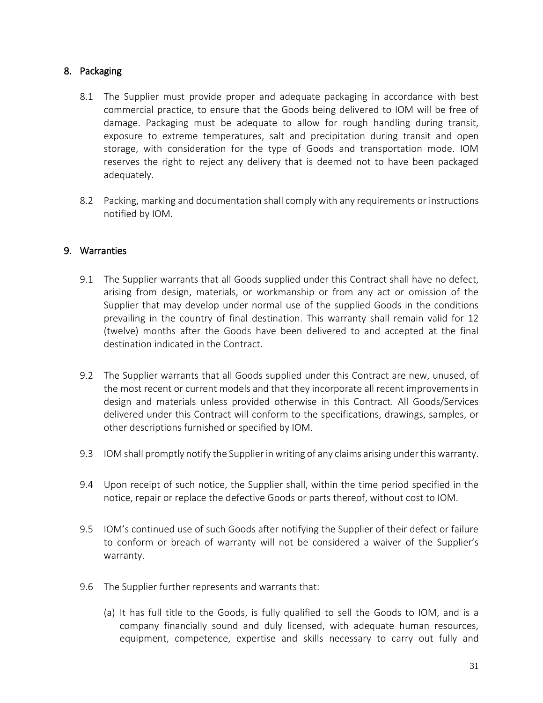# 8. Packaging

- 8.1 The Supplier must provide proper and adequate packaging in accordance with best commercial practice, to ensure that the Goods being delivered to IOM will be free of damage. Packaging must be adequate to allow for rough handling during transit, exposure to extreme temperatures, salt and precipitation during transit and open storage, with consideration for the type of Goods and transportation mode. IOM reserves the right to reject any delivery that is deemed not to have been packaged adequately.
- 8.2 Packing, marking and documentation shall comply with any requirements or instructions notified by IOM.

### 9. Warranties

- 9.1 The Supplier warrants that all Goods supplied under this Contract shall have no defect, arising from design, materials, or workmanship or from any act or omission of the Supplier that may develop under normal use of the supplied Goods in the conditions prevailing in the country of final destination. This warranty shall remain valid for 12 (twelve) months after the Goods have been delivered to and accepted at the final destination indicated in the Contract.
- 9.2 The Supplier warrants that all Goods supplied under this Contract are new, unused, of the most recent or current models and that they incorporate all recent improvements in design and materials unless provided otherwise in this Contract. All Goods/Services delivered under this Contract will conform to the specifications, drawings, samples, or other descriptions furnished or specified by IOM.
- 9.3 IOM shall promptly notify the Supplier in writing of any claims arising under this warranty.
- 9.4 Upon receipt of such notice, the Supplier shall, within the time period specified in the notice, repair or replace the defective Goods or parts thereof, without cost to IOM.
- 9.5 IOM's continued use of such Goods after notifying the Supplier of their defect or failure to conform or breach of warranty will not be considered a waiver of the Supplier's warranty.
- 9.6 The Supplier further represents and warrants that:
	- (a) It has full title to the Goods, is fully qualified to sell the Goods to IOM, and is a company financially sound and duly licensed, with adequate human resources, equipment, competence, expertise and skills necessary to carry out fully and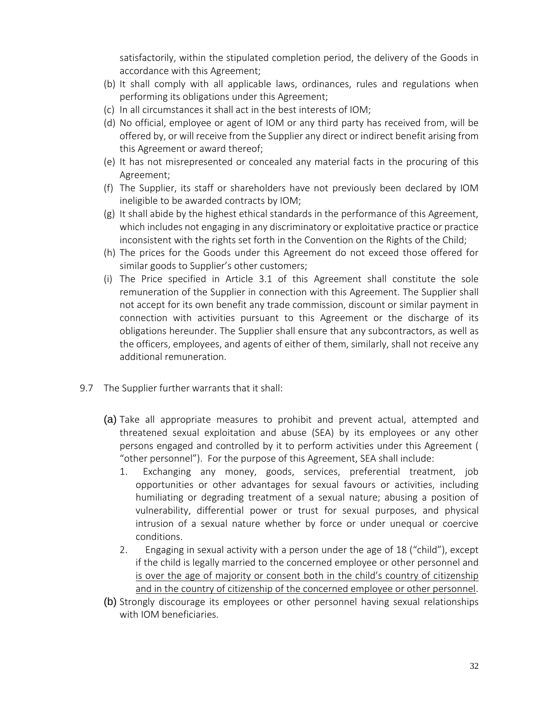satisfactorily, within the stipulated completion period, the delivery of the Goods in accordance with this Agreement;

- (b) It shall comply with all applicable laws, ordinances, rules and regulations when performing its obligations under this Agreement;
- (c) In all circumstances it shall act in the best interests of IOM;
- (d) No official, employee or agent of IOM or any third party has received from, will be offered by, or will receive from the Supplier any direct or indirect benefit arising from this Agreement or award thereof;
- (e) It has not misrepresented or concealed any material facts in the procuring of this Agreement;
- (f) The Supplier, its staff or shareholders have not previously been declared by IOM ineligible to be awarded contracts by IOM;
- (g) It shall abide by the highest ethical standards in the performance of this Agreement, which includes not engaging in any discriminatory or exploitative practice or practice inconsistent with the rights set forth in the Convention on the Rights of the Child;
- (h) The prices for the Goods under this Agreement do not exceed those offered for similar goods to Supplier's other customers;
- (i) The Price specified in Article 3.1 of this Agreement shall constitute the sole remuneration of the Supplier in connection with this Agreement. The Supplier shall not accept for its own benefit any trade commission, discount or similar payment in connection with activities pursuant to this Agreement or the discharge of its obligations hereunder. The Supplier shall ensure that any subcontractors, as well as the officers, employees, and agents of either of them, similarly, shall not receive any additional remuneration.
- 9.7 The Supplier further warrants that it shall:
	- (a) Take all appropriate measures to prohibit and prevent actual, attempted and threatened sexual exploitation and abuse (SEA) by its employees or any other persons engaged and controlled by it to perform activities under this Agreement ( "other personnel"). For the purpose of this Agreement, SEA shall include:
		- 1. Exchanging any money, goods, services, preferential treatment, job opportunities or other advantages for sexual favours or activities, including humiliating or degrading treatment of a sexual nature; abusing a position of vulnerability, differential power or trust for sexual purposes, and physical intrusion of a sexual nature whether by force or under unequal or coercive conditions.
		- 2. Engaging in sexual activity with a person under the age of 18 ("child"), except if the child is legally married to the concerned employee or other personnel and is over the age of majority or consent both in the child's country of citizenship and in the country of citizenship of the concerned employee or other personnel.
	- (b) Strongly discourage its employees or other personnel having sexual relationships with IOM beneficiaries.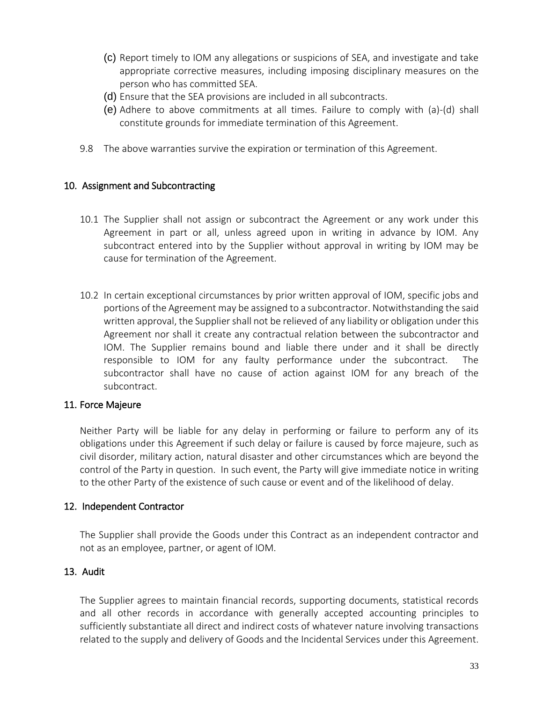- (c) Report timely to IOM any allegations or suspicions of SEA, and investigate and take appropriate corrective measures, including imposing disciplinary measures on the person who has committed SEA.
- (d) Ensure that the SEA provisions are included in all subcontracts.
- (e) Adhere to above commitments at all times. Failure to comply with (a)-(d) shall constitute grounds for immediate termination of this Agreement.
- 9.8 The above warranties survive the expiration or termination of this Agreement.

### 10. Assignment and Subcontracting

- 10.1 The Supplier shall not assign or subcontract the Agreement or any work under this Agreement in part or all, unless agreed upon in writing in advance by IOM. Any subcontract entered into by the Supplier without approval in writing by IOM may be cause for termination of the Agreement.
- 10.2 In certain exceptional circumstances by prior written approval of IOM, specific jobs and portions of the Agreement may be assigned to a subcontractor. Notwithstanding the said written approval, the Supplier shall not be relieved of any liability or obligation under this Agreement nor shall it create any contractual relation between the subcontractor and IOM. The Supplier remains bound and liable there under and it shall be directly responsible to IOM for any faulty performance under the subcontract. The subcontractor shall have no cause of action against IOM for any breach of the subcontract.

#### 11. Force Majeure

Neither Party will be liable for any delay in performing or failure to perform any of its obligations under this Agreement if such delay or failure is caused by force majeure, such as civil disorder, military action, natural disaster and other circumstances which are beyond the control of the Party in question. In such event, the Party will give immediate notice in writing to the other Party of the existence of such cause or event and of the likelihood of delay.

#### 12. Independent Contractor

The Supplier shall provide the Goods under this Contract as an independent contractor and not as an employee, partner, or agent of IOM.

## 13. Audit

The Supplier agrees to maintain financial records, supporting documents, statistical records and all other records in accordance with generally accepted accounting principles to sufficiently substantiate all direct and indirect costs of whatever nature involving transactions related to the supply and delivery of Goods and the Incidental Services under this Agreement.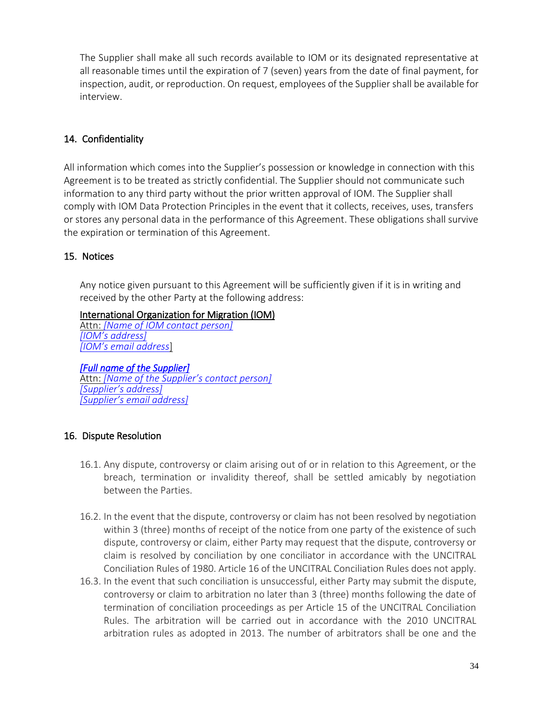The Supplier shall make all such records available to IOM or its designated representative at all reasonable times until the expiration of 7 (seven) years from the date of final payment, for inspection, audit, or reproduction. On request, employees of the Supplier shall be available for interview.

# 14. Confidentiality

All information which comes into the Supplier's possession or knowledge in connection with this Agreement is to be treated as strictly confidential. The Supplier should not communicate such information to any third party without the prior written approval of IOM. The Supplier shall comply with IOM Data Protection Principles in the event that it collects, receives, uses, transfers or stores any personal data in the performance of this Agreement. These obligations shall survive the expiration or termination of this Agreement.

# 15. Notices

Any notice given pursuant to this Agreement will be sufficiently given if it is in writing and received by the other Party at the following address:

# International Organization for Migration (IOM)

Attn: *[Name of IOM contact person] [IOM's address] [IOM's email address*]

*[Full name of the Supplier]*  Attn: *[Name of the Supplier's contact person] [Supplier's address] [Supplier's email address]*

# 16. Dispute Resolution

- 16.1. Any dispute, controversy or claim arising out of or in relation to this Agreement, or the breach, termination or invalidity thereof, shall be settled amicably by negotiation between the Parties.
- 16.2. In the event that the dispute, controversy or claim has not been resolved by negotiation within 3 (three) months of receipt of the notice from one party of the existence of such dispute, controversy or claim, either Party may request that the dispute, controversy or claim is resolved by conciliation by one conciliator in accordance with the UNCITRAL Conciliation Rules of 1980. Article 16 of the UNCITRAL Conciliation Rules does not apply.
- 16.3. In the event that such conciliation is unsuccessful, either Party may submit the dispute, controversy or claim to arbitration no later than 3 (three) months following the date of termination of conciliation proceedings as per Article 15 of the UNCITRAL Conciliation Rules. The arbitration will be carried out in accordance with the 2010 UNCITRAL arbitration rules as adopted in 2013. The number of arbitrators shall be one and the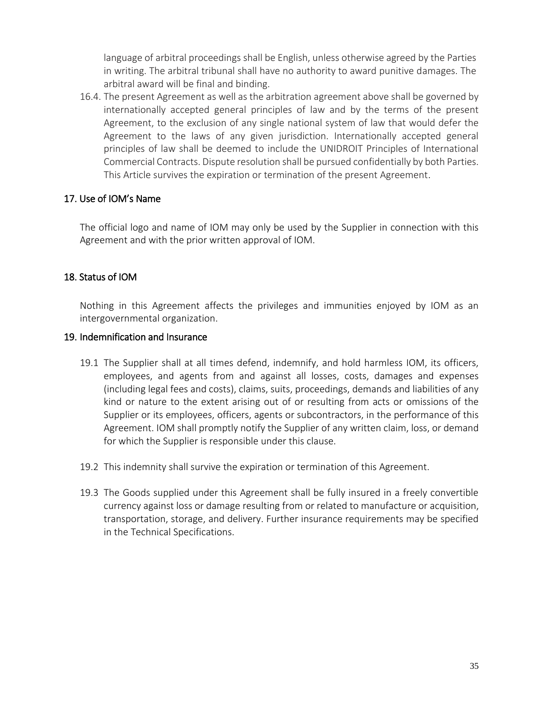language of arbitral proceedings shall be English, unless otherwise agreed by the Parties in writing. The arbitral tribunal shall have no authority to award punitive damages. The arbitral award will be final and binding.

16.4. The present Agreement as well as the arbitration agreement above shall be governed by internationally accepted general principles of law and by the terms of the present Agreement, to the exclusion of any single national system of law that would defer the Agreement to the laws of any given jurisdiction. Internationally accepted general principles of law shall be deemed to include the UNIDROIT Principles of International Commercial Contracts. Dispute resolution shall be pursued confidentially by both Parties. This Article survives the expiration or termination of the present Agreement.

## 17. Use of IOM's Name

The official logo and name of IOM may only be used by the Supplier in connection with this Agreement and with the prior written approval of IOM.

# 18. Status of IOM

Nothing in this Agreement affects the privileges and immunities enjoyed by IOM as an intergovernmental organization.

## 19. Indemnification and Insurance

- 19.1 The Supplier shall at all times defend, indemnify, and hold harmless IOM, its officers, employees, and agents from and against all losses, costs, damages and expenses (including legal fees and costs), claims, suits, proceedings, demands and liabilities of any kind or nature to the extent arising out of or resulting from acts or omissions of the Supplier or its employees, officers, agents or subcontractors, in the performance of this Agreement. IOM shall promptly notify the Supplier of any written claim, loss, or demand for which the Supplier is responsible under this clause.
- 19.2 This indemnity shall survive the expiration or termination of this Agreement.
- 19.3 The Goods supplied under this Agreement shall be fully insured in a freely convertible currency against loss or damage resulting from or related to manufacture or acquisition, transportation, storage, and delivery. Further insurance requirements may be specified in the Technical Specifications.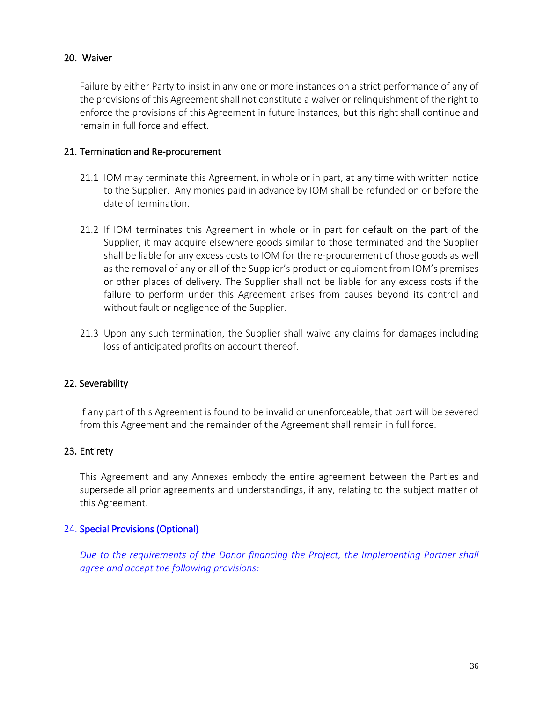### 20. Waiver

Failure by either Party to insist in any one or more instances on a strict performance of any of the provisions of this Agreement shall not constitute a waiver or relinquishment of the right to enforce the provisions of this Agreement in future instances, but this right shall continue and remain in full force and effect.

#### 21. Termination and Re-procurement

- 21.1 IOM may terminate this Agreement, in whole or in part, at any time with written notice to the Supplier. Any monies paid in advance by IOM shall be refunded on or before the date of termination.
- 21.2 If IOM terminates this Agreement in whole or in part for default on the part of the Supplier, it may acquire elsewhere goods similar to those terminated and the Supplier shall be liable for any excess costs to IOM for the re-procurement of those goods as well as the removal of any or all of the Supplier's product or equipment from IOM's premises or other places of delivery. The Supplier shall not be liable for any excess costs if the failure to perform under this Agreement arises from causes beyond its control and without fault or negligence of the Supplier.
- 21.3 Upon any such termination, the Supplier shall waive any claims for damages including loss of anticipated profits on account thereof.

## 22. Severability

If any part of this Agreement is found to be invalid or unenforceable, that part will be severed from this Agreement and the remainder of the Agreement shall remain in full force.

#### 23. Entirety

This Agreement and any Annexes embody the entire agreement between the Parties and supersede all prior agreements and understandings, if any, relating to the subject matter of this Agreement.

#### 24. Special Provisions (Optional)

*Due to the requirements of the Donor financing the Project, the Implementing Partner shall agree and accept the following provisions:*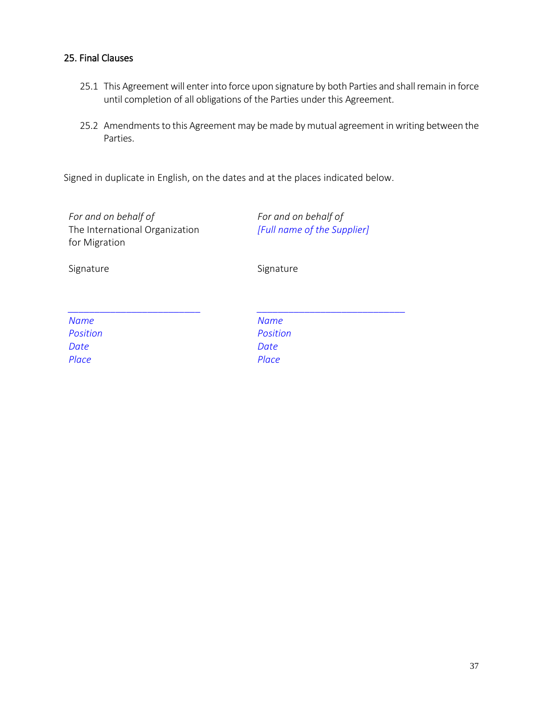### 25. Final Clauses

- 25.1 This Agreement will enter into force upon signature by both Parties and shall remain in force until completion of all obligations of the Parties under this Agreement.
- 25.2 Amendments to this Agreement may be made by mutual agreement in writing between the Parties.

Signed in duplicate in English, on the dates and at the places indicated below.

*For and on behalf of* The International Organization for Migration

*For and on behalf of [Full name of the Supplier]*

Signature Signature Signature

| <b>Name</b> |
|-------------|
| Position    |
| Date        |
| Place       |

*\_\_\_\_\_\_\_\_\_\_\_\_\_\_\_\_\_\_\_\_\_\_\_\_\_\_\_\_ Name Position Date Place*